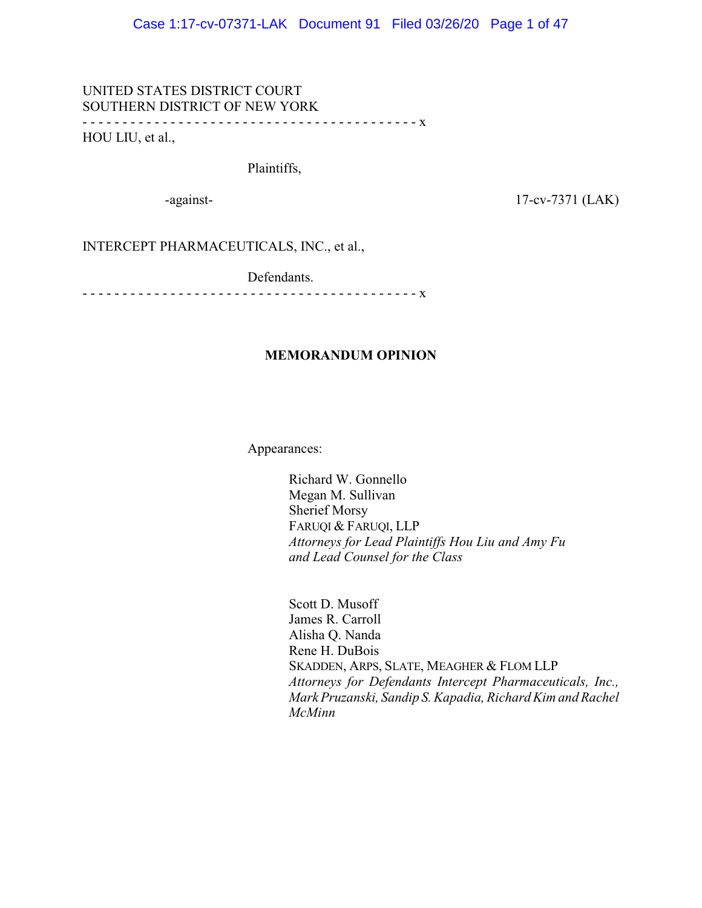# UNITED STATES DISTRICT COURT SOUTHERN DISTRICT OF NEW YORK - - - - - - - - - - - - - - - - - - - - - - - - - - - - - - - - - - - - - - - - - - x HOU LIU, et al.,

Plaintiffs,

-against-<br>17-cv-7371 (LAK)

INTERCEPT PHARMACEUTICALS, INC., et al.,

Defendants.

- - - - - - - - - - - - - - - - - - - - - - - - - - - - - - - - - - - - - - - - - - x

# **MEMORANDUM OPINION**

Appearances:

Richard W. Gonnello Megan M. Sullivan Sherief Morsy FARUQI & FARUQI, LLP *Attorneys for Lead Plaintiffs Hou Liu and Amy Fu and Lead Counsel for the Class*

Scott D. Musoff James R. Carroll Alisha Q. Nanda Rene H. DuBois SKADDEN, ARPS, SLATE, MEAGHER & FLOM LLP *Attorneys for Defendants Intercept Pharmaceuticals, Inc., Mark Pruzanski, Sandip S. Kapadia, Richard Kim and Rachel McMinn*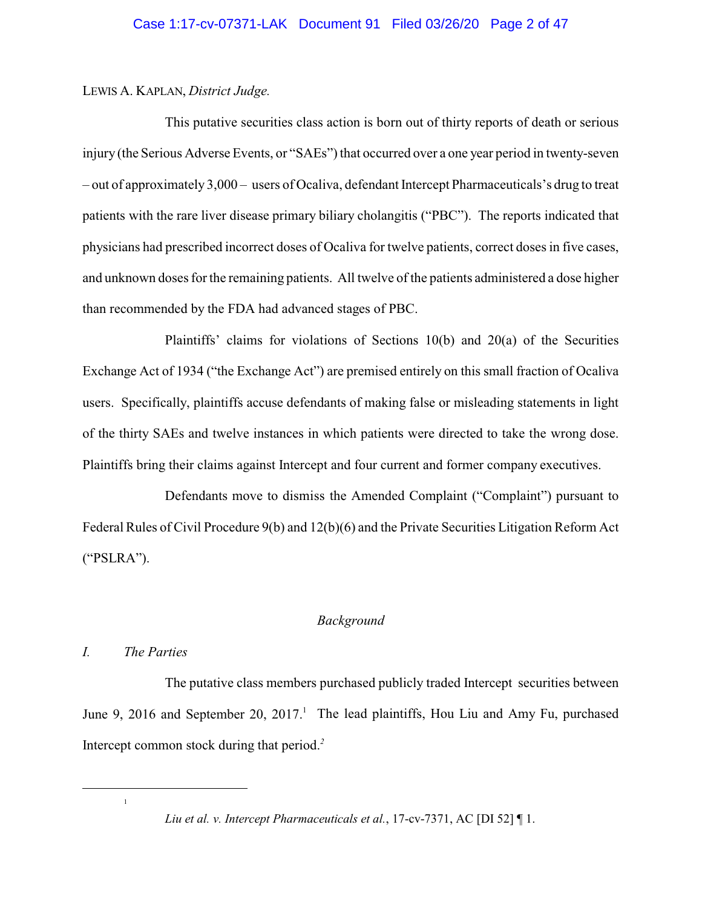# LEWIS A. KAPLAN, *District Judge.*

This putative securities class action is born out of thirty reports of death or serious injury (the Serious Adverse Events, or "SAEs") that occurred over a one year period in twenty-seven – out of approximately 3,000 – users of Ocaliva, defendant Intercept Pharmaceuticals's drug to treat patients with the rare liver disease primary biliary cholangitis ("PBC"). The reports indicated that physicians had prescribed incorrect doses of Ocaliva for twelve patients, correct doses in five cases, and unknown doses for the remaining patients. All twelve of the patients administered a dose higher than recommended by the FDA had advanced stages of PBC.

Plaintiffs' claims for violations of Sections 10(b) and 20(a) of the Securities Exchange Act of 1934 ("the Exchange Act") are premised entirely on this small fraction of Ocaliva users. Specifically, plaintiffs accuse defendants of making false or misleading statements in light of the thirty SAEs and twelve instances in which patients were directed to take the wrong dose. Plaintiffs bring their claims against Intercept and four current and former company executives.

Defendants move to dismiss the Amended Complaint ("Complaint") pursuant to Federal Rules of Civil Procedure 9(b) and 12(b)(6) and the Private Securities Litigation Reform Act ("PSLRA").

# *Background*

# *I. The Parties*

1

The putative class members purchased publicly traded Intercept securities between June 9, 2016 and September 20, 2017.<sup>1</sup> The lead plaintiffs, Hou Liu and Amy Fu, purchased Intercept common stock during that period.*<sup>2</sup>*

*Liu et al. v. Intercept Pharmaceuticals et al.*, 17-cv-7371, AC [DI 52] ¶ 1.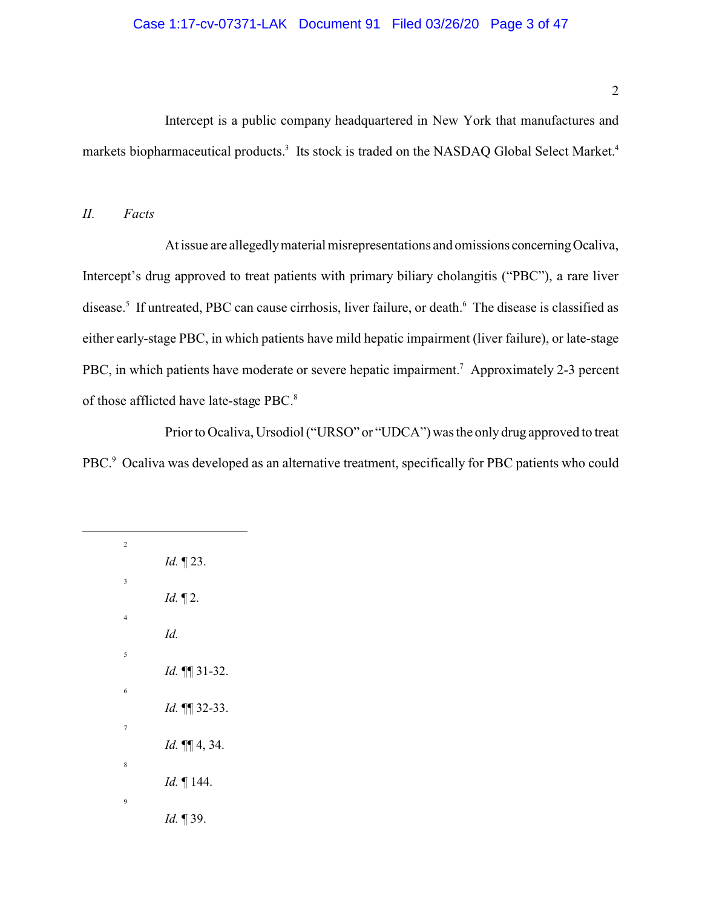# Case 1:17-cv-07371-LAK Document 91 Filed 03/26/20 Page 3 of 47

Intercept is a public company headquartered in New York that manufactures and markets biopharmaceutical products.<sup>3</sup> Its stock is traded on the NASDAQ Global Select Market.<sup>4</sup>

#### *II. Facts*

At issue are allegedly material misrepresentations and omissions concerning Ocaliva, Intercept's drug approved to treat patients with primary biliary cholangitis ("PBC"), a rare liver disease.<sup>5</sup> If untreated, PBC can cause cirrhosis, liver failure, or death.<sup>6</sup> The disease is classified as either early-stage PBC, in which patients have mild hepatic impairment (liver failure), or late-stage PBC, in which patients have moderate or severe hepatic impairment.<sup>7</sup> Approximately 2-3 percent of those afflicted have late-stage PBC.<sup>8</sup>

Prior to Ocaliva, Ursodiol ("URSO" or "UDCA") was the only drug approved to treat PBC.<sup>9</sup> Ocaliva was developed as an alternative treatment, specifically for PBC patients who could

| $\overline{c}$ |                      |
|----------------|----------------------|
|                | Id. 123.             |
| 3              | $Id. \P 2.$          |
| $\overline{4}$ |                      |
|                | Id.                  |
| 5              |                      |
|                | Id. 11 31-32.        |
| 6              | Id. 11 32-33.        |
| 7              |                      |
|                | Id. <b>11</b> 4, 34. |
| 8              |                      |
|                | Id. 144.             |
| 9              | Id. 139.             |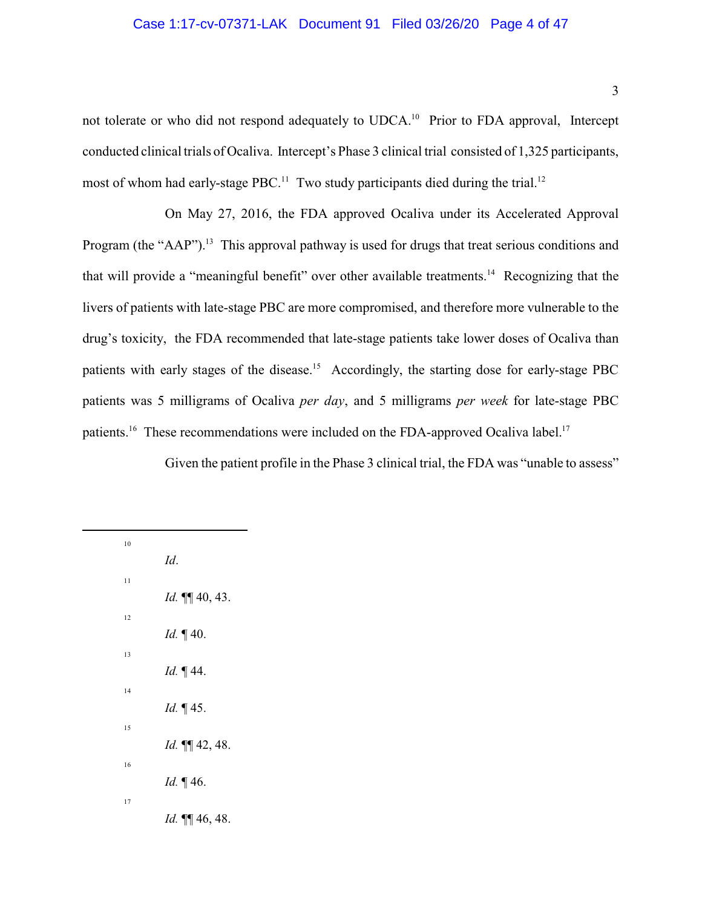# Case 1:17-cv-07371-LAK Document 91 Filed 03/26/20 Page 4 of 47

not tolerate or who did not respond adequately to UDCA.<sup>10</sup> Prior to FDA approval, Intercept conducted clinical trials of Ocaliva. Intercept's Phase 3 clinical trial consisted of 1,325 participants, most of whom had early-stage PBC.<sup>11</sup> Two study participants died during the trial.<sup>12</sup>

On May 27, 2016, the FDA approved Ocaliva under its Accelerated Approval Program (the "AAP").<sup>13</sup> This approval pathway is used for drugs that treat serious conditions and that will provide a "meaningful benefit" over other available treatments.<sup>14</sup> Recognizing that the livers of patients with late-stage PBC are more compromised, and therefore more vulnerable to the drug's toxicity, the FDA recommended that late-stage patients take lower doses of Ocaliva than patients with early stages of the disease.<sup>15</sup> Accordingly, the starting dose for early-stage PBC patients was 5 milligrams of Ocaliva *per day*, and 5 milligrams *per week* for late-stage PBC patients.<sup>16</sup> These recommendations were included on the FDA-approved Ocaliva label.<sup>17</sup>

Given the patient profile in the Phase 3 clinical trial, the FDA was "unable to assess"

10 *Id*. 11 *Id.* ¶¶ 40, 43. 12 *Id.* ¶ 40. 13 *Id.* ¶ 44. 14 *Id.* ¶ 45. 15 *Id.* ¶¶ 42, 48. 16 *Id.* ¶ 46. 17 *Id.* ¶¶ 46, 48.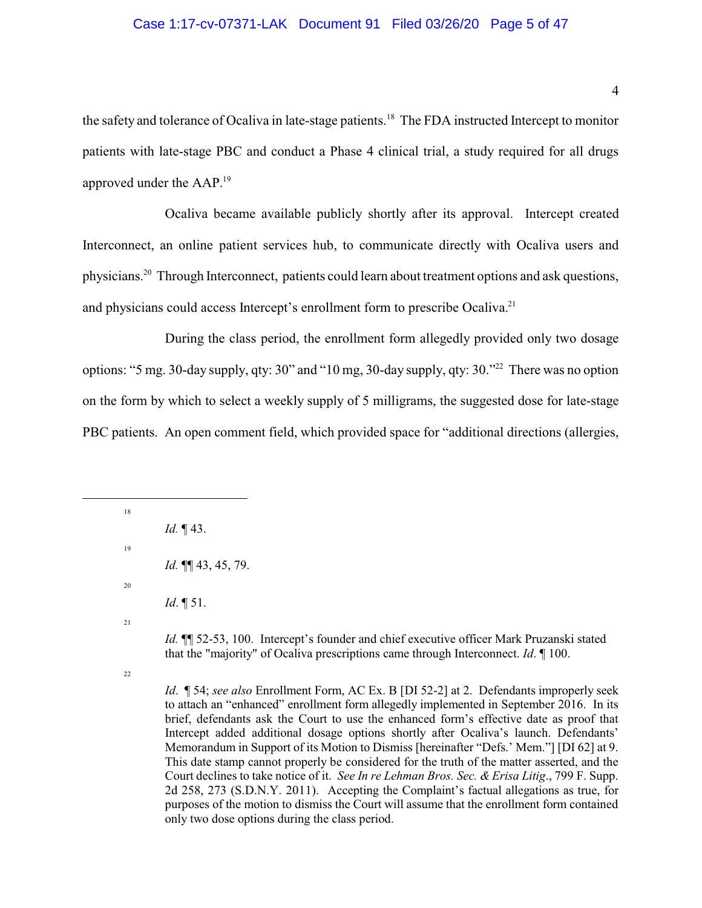### Case 1:17-cv-07371-LAK Document 91 Filed 03/26/20 Page 5 of 47

the safety and tolerance of Ocaliva in late-stage patients.<sup>18</sup> The FDA instructed Intercept to monitor patients with late-stage PBC and conduct a Phase 4 clinical trial, a study required for all drugs approved under the AAP.<sup>19</sup>

Ocaliva became available publicly shortly after its approval. Intercept created Interconnect, an online patient services hub, to communicate directly with Ocaliva users and physicians.<sup>20</sup> Through Interconnect, patients could learn about treatment options and ask questions, and physicians could access Intercept's enrollment form to prescribe Ocaliva.<sup>21</sup>

During the class period, the enrollment form allegedly provided only two dosage options: "5 mg. 30-day supply, qty: 30" and "10 mg, 30-day supply, qty: 30."<sup>22</sup> There was no option on the form by which to select a weekly supply of 5 milligrams, the suggested dose for late-stage PBC patients. An open comment field, which provided space for "additional directions (allergies,

18 *Id.* ¶ 43. 19 *Id.* ¶¶ 43, 45, 79. 20 *Id*. ¶ 51. 21

> *Id.* **[1]** 52-53, 100. Intercept's founder and chief executive officer Mark Pruzanski stated that the "majority" of Ocaliva prescriptions came through Interconnect. *Id*. ¶ 100.

22

*Id*. ¶ 54; *see also* Enrollment Form, AC Ex. B [DI 52-2] at 2. Defendants improperly seek to attach an "enhanced" enrollment form allegedly implemented in September 2016. In its brief, defendants ask the Court to use the enhanced form's effective date as proof that Intercept added additional dosage options shortly after Ocaliva's launch. Defendants' Memorandum in Support of its Motion to Dismiss [hereinafter "Defs.' Mem."] [DI 62] at 9. This date stamp cannot properly be considered for the truth of the matter asserted, and the Court declines to take notice of it. *See In re Lehman Bros. Sec. & Erisa Litig*., 799 F. Supp. 2d 258, 273 (S.D.N.Y. 2011). Accepting the Complaint's factual allegations as true, for purposes of the motion to dismiss the Court will assume that the enrollment form contained only two dose options during the class period.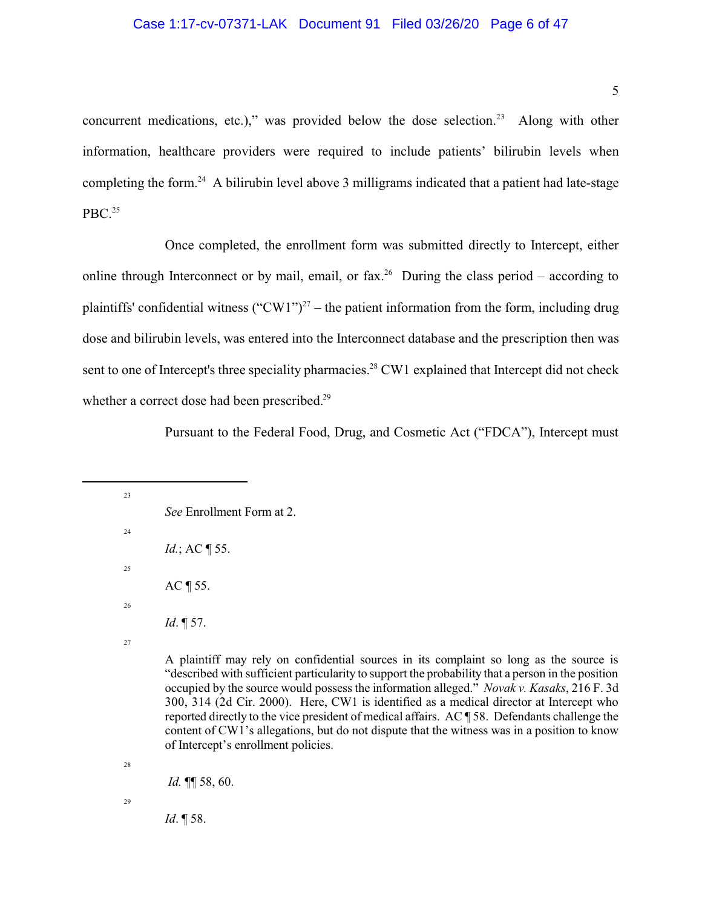#### Case 1:17-cv-07371-LAK Document 91 Filed 03/26/20 Page 6 of 47

concurrent medications, etc.)," was provided below the dose selection. <sup>23</sup> Along with other information, healthcare providers were required to include patients' bilirubin levels when completing the form.<sup>24</sup> A bilirubin level above 3 milligrams indicated that a patient had late-stage PBC. $25$ 

Once completed, the enrollment form was submitted directly to Intercept, either online through Interconnect or by mail, email, or fax.<sup>26</sup> During the class period – according to plaintiffs' confidential witness  $("CW1")^{27}$  – the patient information from the form, including drug dose and bilirubin levels, was entered into the Interconnect database and the prescription then was sent to one of Intercept's three speciality pharmacies.<sup>28</sup> CW1 explained that Intercept did not check whether a correct dose had been prescribed.<sup>29</sup>

Pursuant to the Federal Food, Drug, and Cosmetic Act ("FDCA"), Intercept must

23 *See* Enrollment Form at 2. 24 *Id.*; AC ¶ 55. 25 AC ¶ 55. 26 *Id*. ¶ 57.

27

A plaintiff may rely on confidential sources in its complaint so long as the source is "described with sufficient particularity to support the probability that a person in the position occupied by the source would possess the information alleged." *Novak v. Kasaks*, 216 F. 3d 300, 314 (2d Cir. 2000). Here, CW1 is identified as a medical director at Intercept who reported directly to the vice president of medical affairs. AC ¶ 58. Defendants challenge the content of CW1's allegations, but do not dispute that the witness was in a position to know of Intercept's enrollment policies.

28

*Id.* ¶¶ 58, 60.

29

*Id*. ¶ 58.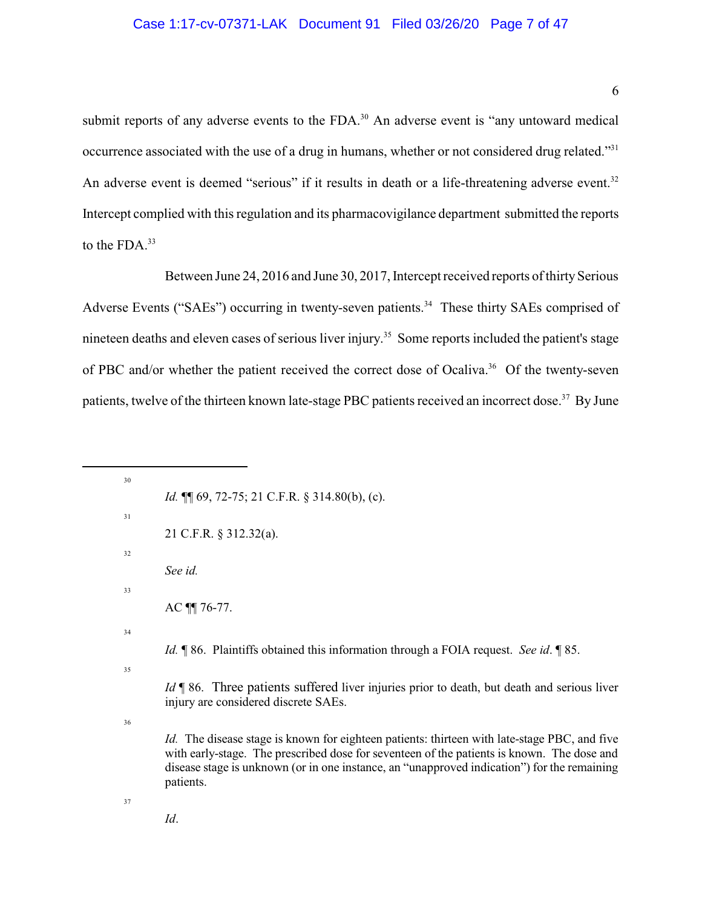# Case 1:17-cv-07371-LAK Document 91 Filed 03/26/20 Page 7 of 47

submit reports of any adverse events to the FDA.<sup>30</sup> An adverse event is "any untoward medical occurrence associated with the use of a drug in humans, whether or not considered drug related."<sup>31</sup> An adverse event is deemed "serious" if it results in death or a life-threatening adverse event.<sup>32</sup> Intercept complied with this regulation and its pharmacovigilance department submitted the reports to the FDA.<sup>33</sup>

Between June 24, 2016 and June 30, 2017, Intercept received reports of thirty Serious Adverse Events ("SAEs") occurring in twenty-seven patients.<sup>34</sup> These thirty SAEs comprised of nineteen deaths and eleven cases of serious liver injury. <sup>35</sup> Some reports included the patient's stage of PBC and/or whether the patient received the correct dose of Ocaliva.<sup>36</sup> Of the twenty-seven patients, twelve of the thirteen known late-stage PBC patients received an incorrect dose.<sup>37</sup> By June

| 30 |                                                                                                                                                                                                                                                                                                               |
|----|---------------------------------------------------------------------------------------------------------------------------------------------------------------------------------------------------------------------------------------------------------------------------------------------------------------|
|    | <i>Id.</i> $\P$ 69, 72-75; 21 C.F.R. § 314.80(b), (c).                                                                                                                                                                                                                                                        |
| 31 |                                                                                                                                                                                                                                                                                                               |
|    | 21 C.F.R. § 312.32(a).                                                                                                                                                                                                                                                                                        |
| 32 |                                                                                                                                                                                                                                                                                                               |
|    | See id.                                                                                                                                                                                                                                                                                                       |
| 33 |                                                                                                                                                                                                                                                                                                               |
|    | AC 11 76-77.                                                                                                                                                                                                                                                                                                  |
| 34 |                                                                                                                                                                                                                                                                                                               |
|    | <i>Id.</i> ¶ 86. Plaintiffs obtained this information through a FOIA request. See id. ¶ 85.                                                                                                                                                                                                                   |
| 35 |                                                                                                                                                                                                                                                                                                               |
|    | <i>Id</i> ¶ 86. Three patients suffered liver injuries prior to death, but death and serious liver<br>injury are considered discrete SAEs.                                                                                                                                                                    |
| 36 |                                                                                                                                                                                                                                                                                                               |
|    | <i>Id.</i> The disease stage is known for eighteen patients: thirteen with late-stage PBC, and five<br>with early-stage. The prescribed dose for seventeen of the patients is known. The dose and<br>disease stage is unknown (or in one instance, an "unapproved indication") for the remaining<br>patients. |
| 37 |                                                                                                                                                                                                                                                                                                               |
|    | Id.                                                                                                                                                                                                                                                                                                           |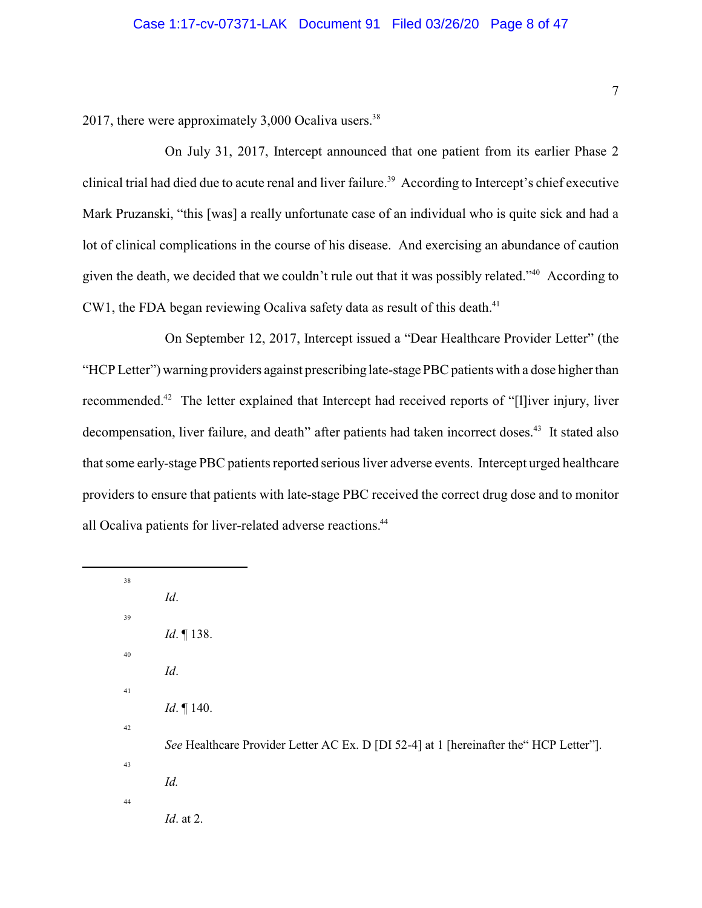2017, there were approximately  $3,000$  Ocaliva users.<sup>38</sup>

On July 31, 2017, Intercept announced that one patient from its earlier Phase 2 clinical trial had died due to acute renal and liver failure.<sup>39</sup> According to Intercept's chief executive Mark Pruzanski, "this [was] a really unfortunate case of an individual who is quite sick and had a lot of clinical complications in the course of his disease. And exercising an abundance of caution given the death, we decided that we couldn't rule out that it was possibly related."<sup>40</sup> According to CW1, the FDA began reviewing Ocaliva safety data as result of this death.<sup>41</sup>

On September 12, 2017, Intercept issued a "Dear Healthcare Provider Letter" (the "HCP Letter") warning providers against prescribing late-stage PBC patients with a dose higher than recommended.<sup>42</sup> The letter explained that Intercept had received reports of "[l]iver injury, liver decompensation, liver failure, and death" after patients had taken incorrect doses.<sup>43</sup> It stated also that some early-stage PBC patients reported serious liver adverse events. Intercept urged healthcare providers to ensure that patients with late-stage PBC received the correct drug dose and to monitor all Ocaliva patients for liver-related adverse reactions.<sup>44</sup>

38 *Id*. 39 *Id*. ¶ 138. 40 *Id*. 41 *Id*. ¶ 140. 42 *See* Healthcare Provider Letter AC Ex. D [DI 52-4] at 1 [hereinafter the HCP Letter"]. 43 *Id.*  44 *Id*. at 2.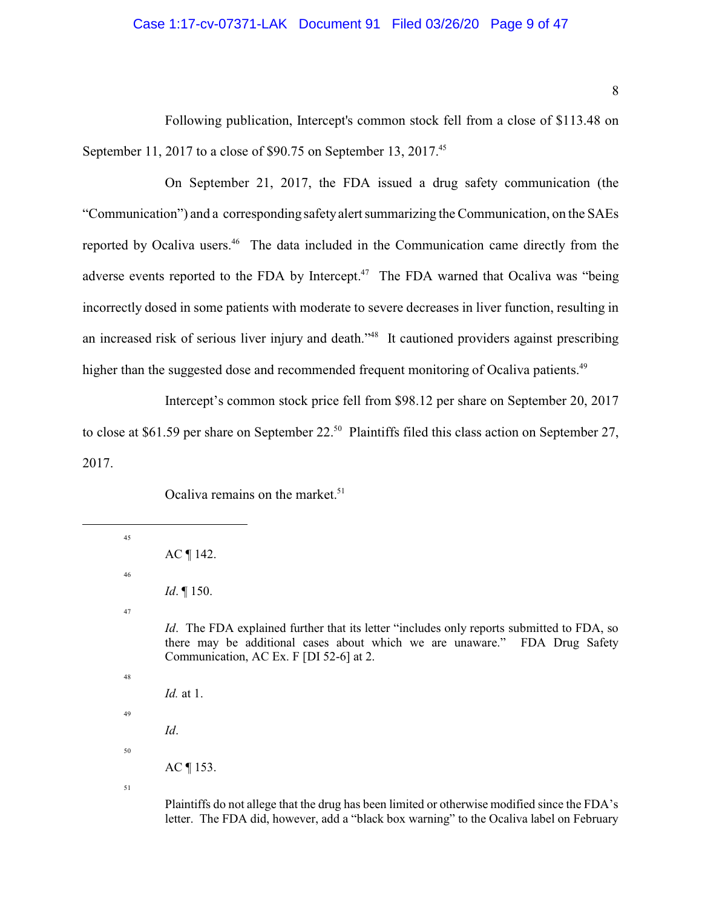### Case 1:17-cv-07371-LAK Document 91 Filed 03/26/20 Page 9 of 47

Following publication, Intercept's common stock fell from a close of \$113.48 on September 11, 2017 to a close of \$90.75 on September 13, 2017.<sup>45</sup>

On September 21, 2017, the FDA issued a drug safety communication (the "Communication") and a corresponding safetyalert summarizing the Communication, on the SAEs reported by Ocaliva users.<sup>46</sup> The data included in the Communication came directly from the adverse events reported to the FDA by Intercept.<sup>47</sup> The FDA warned that Ocaliva was "being" incorrectly dosed in some patients with moderate to severe decreases in liver function, resulting in an increased risk of serious liver injury and death."<sup>48</sup> It cautioned providers against prescribing higher than the suggested dose and recommended frequent monitoring of Ocaliva patients.<sup>49</sup>

Intercept's common stock price fell from \$98.12 per share on September 20, 2017 to close at \$61.59 per share on September 22.<sup>50</sup> Plaintiffs filed this class action on September 27, 2017.

Ocaliva remains on the market.<sup>51</sup>

| 45 |                                                                                                                                                                                                                           |
|----|---------------------------------------------------------------------------------------------------------------------------------------------------------------------------------------------------------------------------|
|    | $AC \parallel 142.$                                                                                                                                                                                                       |
| 46 |                                                                                                                                                                                                                           |
|    | <i>Id.</i> $\P$ 150.                                                                                                                                                                                                      |
| 47 |                                                                                                                                                                                                                           |
|    | <i>Id.</i> The FDA explained further that its letter "includes only reports submitted to FDA, so<br>there may be additional cases about which we are unaware." FDA Drug Safety<br>Communication, AC Ex. F [DI 52-6] at 2. |
| 48 |                                                                                                                                                                                                                           |
|    | <i>Id.</i> at 1.                                                                                                                                                                                                          |
| 49 |                                                                                                                                                                                                                           |
|    | Id.                                                                                                                                                                                                                       |
| 50 |                                                                                                                                                                                                                           |
|    | $AC \parallel 153.$                                                                                                                                                                                                       |
| 51 |                                                                                                                                                                                                                           |
|    |                                                                                                                                                                                                                           |

Plaintiffs do not allege that the drug has been limited or otherwise modified since the FDA's letter. The FDA did, however, add a "black box warning" to the Ocaliva label on February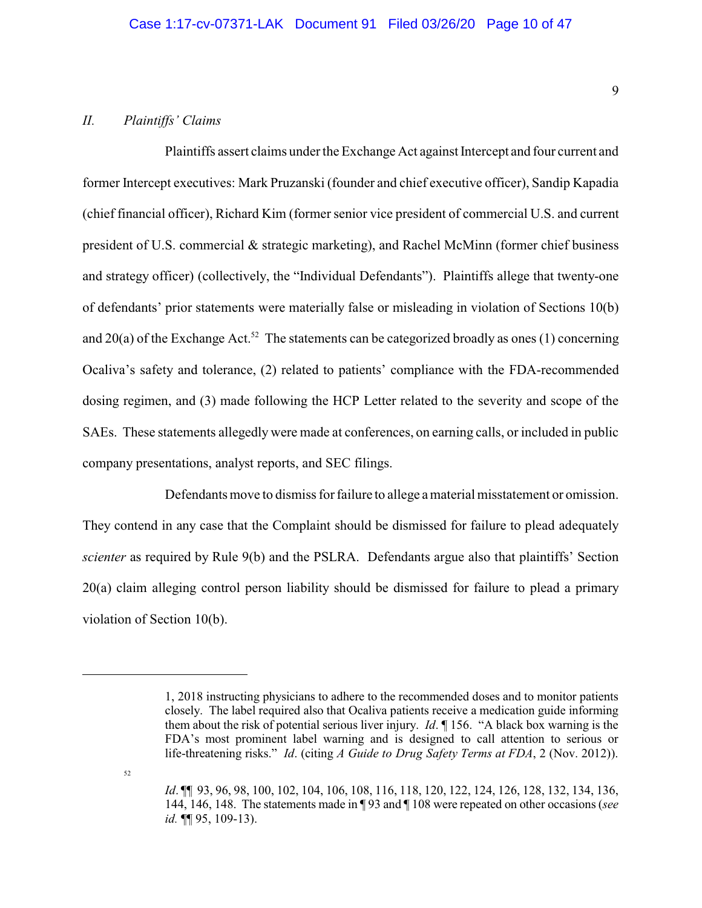# *II. Plaintiffs' Claims*

Plaintiffs assert claims under the Exchange Act against Intercept and four current and former Intercept executives: Mark Pruzanski (founder and chief executive officer), Sandip Kapadia (chief financial officer), Richard Kim (former senior vice president of commercial U.S. and current president of U.S. commercial & strategic marketing), and Rachel McMinn (former chief business and strategy officer) (collectively, the "Individual Defendants"). Plaintiffs allege that twenty-one of defendants' prior statements were materially false or misleading in violation of Sections 10(b) and 20(a) of the Exchange Act.<sup>52</sup> The statements can be categorized broadly as ones (1) concerning Ocaliva's safety and tolerance, (2) related to patients' compliance with the FDA-recommended dosing regimen, and (3) made following the HCP Letter related to the severity and scope of the SAEs. These statements allegedly were made at conferences, on earning calls, or included in public company presentations, analyst reports, and SEC filings.

Defendants move to dismiss for failure to allege a material misstatement or omission. They contend in any case that the Complaint should be dismissed for failure to plead adequately *scienter* as required by Rule 9(b) and the PSLRA. Defendants argue also that plaintiffs' Section 20(a) claim alleging control person liability should be dismissed for failure to plead a primary violation of Section 10(b).

9

<sup>1, 2018</sup> instructing physicians to adhere to the recommended doses and to monitor patients closely. The label required also that Ocaliva patients receive a medication guide informing them about the risk of potential serious liver injury. *Id*. ¶ 156. "A black box warning is the FDA's most prominent label warning and is designed to call attention to serious or life-threatening risks." *Id*. (citing *A Guide to Drug Safety Terms at FDA*, 2 (Nov. 2012)).

*Id*. ¶¶ 93, 96, 98, 100, 102, 104, 106, 108, 116, 118, 120, 122, 124, 126, 128, 132, 134, 136, 144, 146, 148. The statements made in ¶ 93 and ¶ 108 were repeated on other occasions (*see id.* ¶¶ 95, 109-13).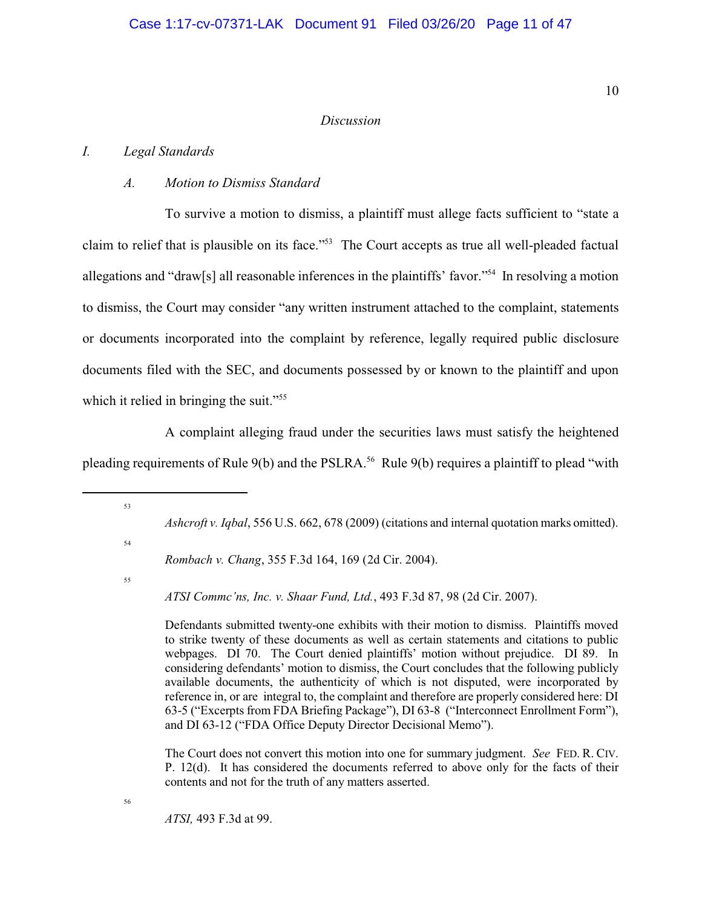#### *Discussion*

## *I. Legal Standards*

### *A. Motion to Dismiss Standard*

To survive a motion to dismiss, a plaintiff must allege facts sufficient to "state a claim to relief that is plausible on its face."<sup>53</sup> The Court accepts as true all well-pleaded factual allegations and "draw[s] all reasonable inferences in the plaintiffs' favor."<sup>54</sup> In resolving a motion to dismiss, the Court may consider "any written instrument attached to the complaint, statements or documents incorporated into the complaint by reference, legally required public disclosure documents filed with the SEC, and documents possessed by or known to the plaintiff and upon which it relied in bringing the suit."<sup>55</sup>

A complaint alleging fraud under the securities laws must satisfy the heightened pleading requirements of Rule 9(b) and the PSLRA.<sup>56</sup> Rule 9(b) requires a plaintiff to plead "with

*Ashcroft v. Iqbal*, 556 U.S. 662, 678 (2009) (citations and internal quotation marks omitted).

54

53

*Rombach v. Chang*, 355 F.3d 164, 169 (2d Cir. 2004).

55

56

*ATSI Commc'ns, Inc. v. Shaar Fund, Ltd.*, 493 F.3d 87, 98 (2d Cir. 2007).

Defendants submitted twenty-one exhibits with their motion to dismiss. Plaintiffs moved to strike twenty of these documents as well as certain statements and citations to public webpages. DI 70. The Court denied plaintiffs' motion without prejudice. DI 89. In considering defendants' motion to dismiss, the Court concludes that the following publicly available documents, the authenticity of which is not disputed, were incorporated by reference in, or are integral to, the complaint and therefore are properly considered here: DI 63-5 ("Excerpts from FDA Briefing Package"), DI 63-8 ("Interconnect Enrollment Form"), and DI 63-12 ("FDA Office Deputy Director Decisional Memo").

The Court does not convert this motion into one for summary judgment. *See* FED. R. CIV. P. 12(d). It has considered the documents referred to above only for the facts of their contents and not for the truth of any matters asserted.

*ATSI,* 493 F.3d at 99.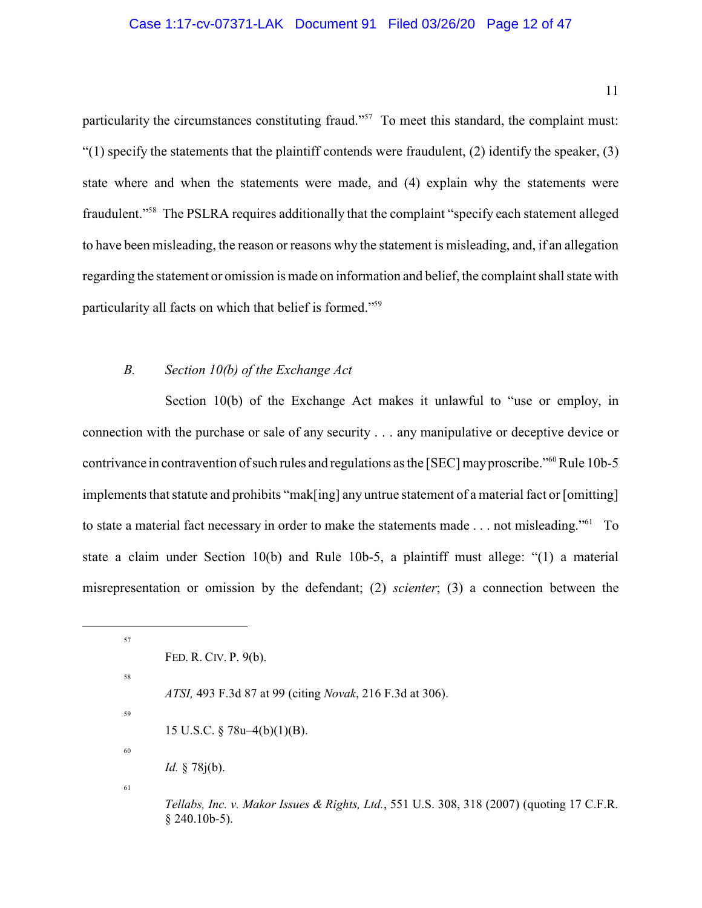### Case 1:17-cv-07371-LAK Document 91 Filed 03/26/20 Page 12 of 47

particularity the circumstances constituting fraud."<sup>57</sup> To meet this standard, the complaint must:  $\degree$ (1) specify the statements that the plaintiff contends were fraudulent, (2) identify the speaker, (3) state where and when the statements were made, and (4) explain why the statements were fraudulent."<sup>58</sup> The PSLRA requires additionally that the complaint "specify each statement alleged to have been misleading, the reason or reasons why the statement is misleading, and, if an allegation regarding the statement or omission is made on information and belief, the complaint shall state with particularity all facts on which that belief is formed."<sup>59</sup>

### *B. Section 10(b) of the Exchange Act*

Section 10(b) of the Exchange Act makes it unlawful to "use or employ, in connection with the purchase or sale of any security . . . any manipulative or deceptive device or contrivance in contravention of such rules and regulations as the [SEC] may proscribe."<sup>60</sup>Rule 10b-5 implements that statute and prohibits "mak[ing] any untrue statement of a material fact or [omitting] to state a material fact necessary in order to make the statements made . . . not misleading."<sup>61</sup> To state a claim under Section 10(b) and Rule 10b-5, a plaintiff must allege: "(1) a material misrepresentation or omission by the defendant; (2) *scienter*; (3) a connection between the

*ATSI,* 493 F.3d 87 at 99 (citing *Novak*, 216 F.3d at 306).

15 U.S.C. § 78u–4(b)(1)(B).

59 60

57

58

*Id.* § 78j(b).

61

*Tellabs, Inc. v. Makor Issues & Rights, Ltd.*, 551 U.S. 308, 318 (2007) (quoting 17 C.F.R.  $§$  240.10b-5).

FED. R. CIV. P. 9(b).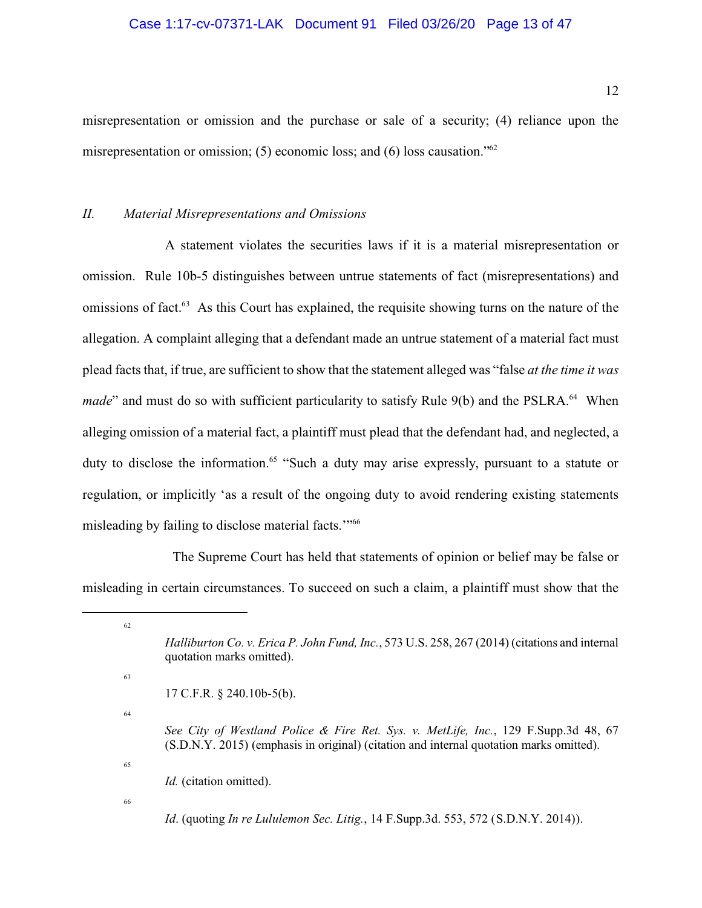## Case 1:17-cv-07371-LAK Document 91 Filed 03/26/20 Page 13 of 47

misrepresentation or omission and the purchase or sale of a security; (4) reliance upon the misrepresentation or omission; (5) economic loss; and (6) loss causation."<sup>62</sup>

#### *II. Material Misrepresentations and Omissions*

A statement violates the securities laws if it is a material misrepresentation or omission. Rule 10b-5 distinguishes between untrue statements of fact (misrepresentations) and omissions of fact.<sup>63</sup> As this Court has explained, the requisite showing turns on the nature of the allegation. A complaint alleging that a defendant made an untrue statement of a material fact must plead facts that, if true, are sufficient to show that the statement alleged was "false *at the time it was made*" and must do so with sufficient particularity to satisfy Rule 9(b) and the PSLRA.<sup>64</sup> When alleging omission of a material fact, a plaintiff must plead that the defendant had, and neglected, a duty to disclose the information.<sup>65</sup> "Such a duty may arise expressly, pursuant to a statute or regulation, or implicitly 'as a result of the ongoing duty to avoid rendering existing statements misleading by failing to disclose material facts."<sup>66</sup>

The Supreme Court has held that statements of opinion or belief may be false or misleading in certain circumstances. To succeed on such a claim, a plaintiff must show that the

<sup>62</sup> *Halliburton Co. v. Erica P. John Fund, Inc.*, 573 U.S. 258, 267 (2014) (citations and internal quotation marks omitted). 63 17 C.F.R. § 240.10b-5(b). 64 *See City of Westland Police & Fire Ret. Sys. v. MetLife, Inc.*, 129 F.Supp.3d 48, 67 (S.D.N.Y. 2015) (emphasis in original) (citation and internal quotation marks omitted). 65 *Id.* (citation omitted). 66 *Id*. (quoting *In re Lululemon Sec. Litig.*, 14 F.Supp.3d. 553, 572 (S.D.N.Y. 2014)).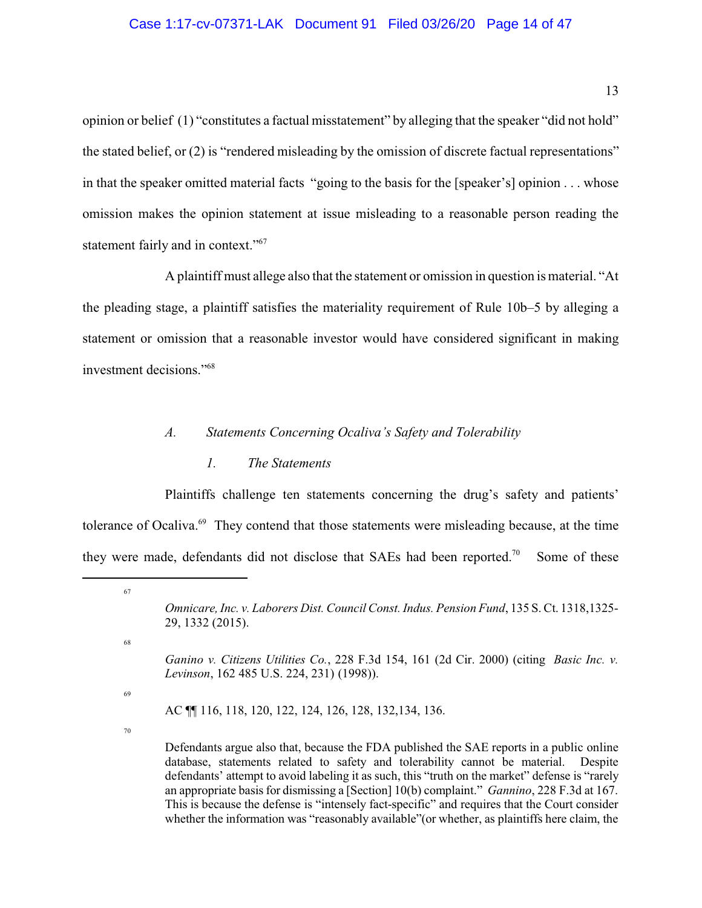## Case 1:17-cv-07371-LAK Document 91 Filed 03/26/20 Page 14 of 47

opinion or belief (1) "constitutes a factual misstatement" by alleging that the speaker "did not hold" the stated belief, or (2) is "rendered misleading by the omission of discrete factual representations" in that the speaker omitted material facts "going to the basis for the [speaker's] opinion . . . whose omission makes the opinion statement at issue misleading to a reasonable person reading the statement fairly and in context."<sup>67</sup>

A plaintiff must allege also that the statement or omission in question is material. "At the pleading stage, a plaintiff satisfies the materiality requirement of Rule 10b–5 by alleging a statement or omission that a reasonable investor would have considered significant in making investment decisions."<sup>68</sup>

### *A. Statements Concerning Ocaliva's Safety and Tolerability*

### *1. The Statements*

Plaintiffs challenge ten statements concerning the drug's safety and patients' tolerance of Ocaliva.<sup>69</sup> They contend that those statements were misleading because, at the time they were made, defendants did not disclose that SAEs had been reported.<sup>70</sup> Some of these

68

67

69

AC ¶¶ 116, 118, 120, 122, 124, 126, 128, 132,134, 136.

70

Defendants argue also that, because the FDA published the SAE reports in a public online database, statements related to safety and tolerability cannot be material. Despite defendants' attempt to avoid labeling it as such, this "truth on the market" defense is "rarely an appropriate basisfor dismissing a [Section] 10(b) complaint." *Gannino*, 228 F.3d at 167. This is because the defense is "intensely fact-specific" and requires that the Court consider whether the information was "reasonably available"(or whether, as plaintiffs here claim, the

*Omnicare, Inc. v. Laborers Dist. CouncilConst. Indus. Pension Fund*, 135 S. Ct. 1318,1325- 29, 1332 (2015).

*Ganino v. Citizens Utilities Co.*, 228 F.3d 154, 161 (2d Cir. 2000) (citing *Basic Inc. v. Levinson*, 162 485 U.S. 224, 231) (1998)).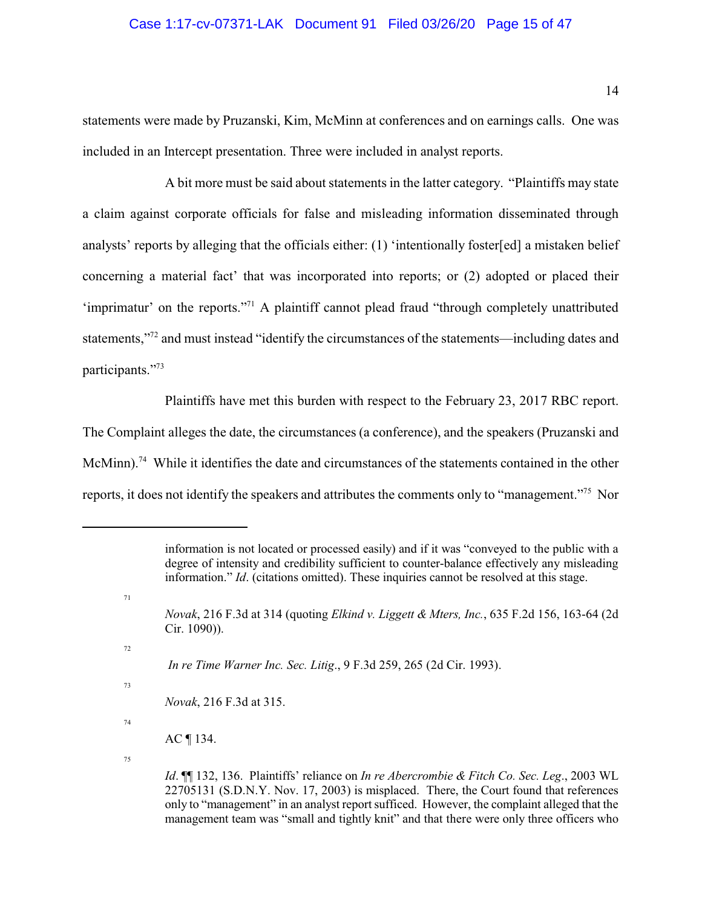### Case 1:17-cv-07371-LAK Document 91 Filed 03/26/20 Page 15 of 47

statements were made by Pruzanski, Kim, McMinn at conferences and on earnings calls. One was included in an Intercept presentation. Three were included in analyst reports.

A bit more must be said about statements in the latter category. "Plaintiffs may state a claim against corporate officials for false and misleading information disseminated through analysts' reports by alleging that the officials either: (1) 'intentionally foster[ed] a mistaken belief concerning a material fact' that was incorporated into reports; or (2) adopted or placed their 'imprimatur' on the reports."<sup>71</sup> A plaintiff cannot plead fraud "through completely unattributed statements,"<sup>72</sup> and must instead "identify the circumstances of the statements—including dates and participants."73

Plaintiffs have met this burden with respect to the February 23, 2017 RBC report.

The Complaint alleges the date, the circumstances (a conference), and the speakers (Pruzanski and McMinn).<sup>74</sup> While it identifies the date and circumstances of the statements contained in the other reports, it does not identify the speakers and attributes the comments only to "management."<sup>75</sup> Nor

72

73

71

 *In re Time Warner Inc. Sec. Litig*., 9 F.3d 259, 265 (2d Cir. 1993).

*Novak*, 216 F.3d at 315.

74

information is not located or processed easily) and if it was "conveyed to the public with a degree of intensity and credibility sufficient to counter-balance effectively any misleading information." *Id*. (citations omitted). These inquiries cannot be resolved at this stage.

*Novak*, 216 F.3d at 314 (quoting *Elkind v. Liggett & Mters, Inc.*, 635 F.2d 156, 163-64 (2d Cir. 1090)).

AC ¶ 134.

*Id*. ¶¶ 132, 136. Plaintiffs' reliance on *In re Abercrombie & Fitch Co. Sec. Leg*., 2003 WL 22705131 (S.D.N.Y. Nov. 17, 2003) is misplaced. There, the Court found that references only to "management" in an analyst reportsufficed. However, the complaint alleged that the management team was "small and tightly knit" and that there were only three officers who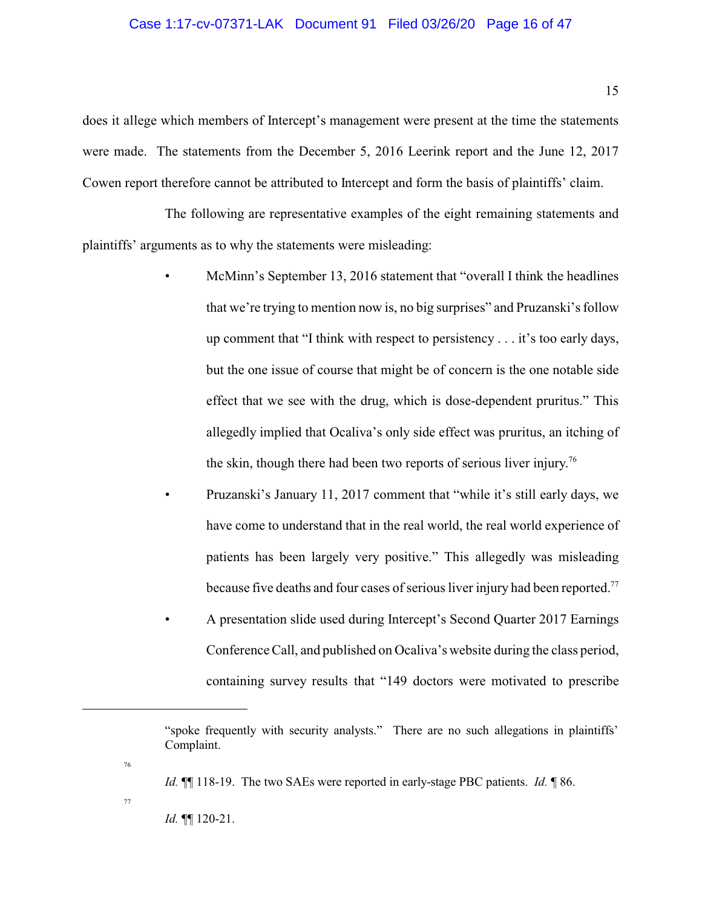### Case 1:17-cv-07371-LAK Document 91 Filed 03/26/20 Page 16 of 47

does it allege which members of Intercept's management were present at the time the statements were made. The statements from the December 5, 2016 Leerink report and the June 12, 2017 Cowen report therefore cannot be attributed to Intercept and form the basis of plaintiffs' claim.

The following are representative examples of the eight remaining statements and plaintiffs' arguments as to why the statements were misleading:

- McMinn's September 13, 2016 statement that "overall I think the headlines" that we're trying to mention now is, no big surprises" and Pruzanski's follow up comment that "I think with respect to persistency . . . it's too early days, but the one issue of course that might be of concern is the one notable side effect that we see with the drug, which is dose-dependent pruritus." This allegedly implied that Ocaliva's only side effect was pruritus, an itching of the skin, though there had been two reports of serious liver injury.<sup>76</sup>
- Pruzanski's January 11, 2017 comment that "while it's still early days, we have come to understand that in the real world, the real world experience of patients has been largely very positive." This allegedly was misleading because five deaths and four cases of serious liver injury had been reported.<sup>77</sup>
- A presentation slide used during Intercept's Second Quarter 2017 Earnings Conference Call, and published on Ocaliva's website during the class period, containing survey results that "149 doctors were motivated to prescribe

*Id.* ¶¶ 118-19. The two SAEs were reported in early-stage PBC patients. *Id.* ¶ 86.

77

*Id.* ¶¶ 120-21.

<sup>&</sup>quot;spoke frequently with security analysts." There are no such allegations in plaintiffs' Complaint.

<sup>76</sup>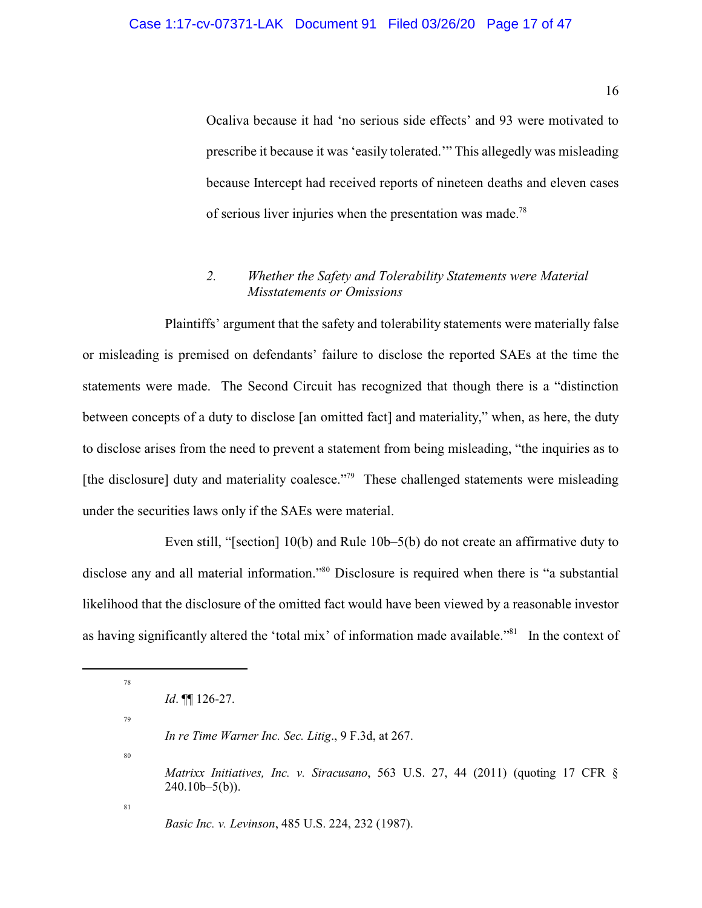Ocaliva because it had 'no serious side effects' and 93 were motivated to prescribe it because it was 'easily tolerated.'" This allegedly was misleading because Intercept had received reports of nineteen deaths and eleven cases of serious liver injuries when the presentation was made.<sup>78</sup>

# *2. Whether the Safety and Tolerability Statements were Material Misstatements or Omissions*

Plaintiffs' argument that the safety and tolerability statements were materially false or misleading is premised on defendants' failure to disclose the reported SAEs at the time the statements were made. The Second Circuit has recognized that though there is a "distinction between concepts of a duty to disclose [an omitted fact] and materiality," when, as here, the duty to disclose arises from the need to prevent a statement from being misleading, "the inquiries as to [the disclosure] duty and materiality coalesce."<sup>79</sup> These challenged statements were misleading under the securities laws only if the SAEs were material.

Even still, "[section] 10(b) and Rule 10b–5(b) do not create an affirmative duty to disclose any and all material information."<sup>80</sup> Disclosure is required when there is "a substantial likelihood that the disclosure of the omitted fact would have been viewed by a reasonable investor as having significantly altered the 'total mix' of information made available."<sup>81</sup> In the context of

*Id*. ¶¶ 126-27.

79

78

80

*Matrixx Initiatives, Inc. v. Siracusano*, 563 U.S. 27, 44 (2011) (quoting 17 CFR §  $240.10<sub>b-5(b)</sub>$ .

81

*Basic Inc. v. Levinson*, 485 U.S. 224, 232 (1987).

*In re Time Warner Inc. Sec. Litig*., 9 F.3d, at 267.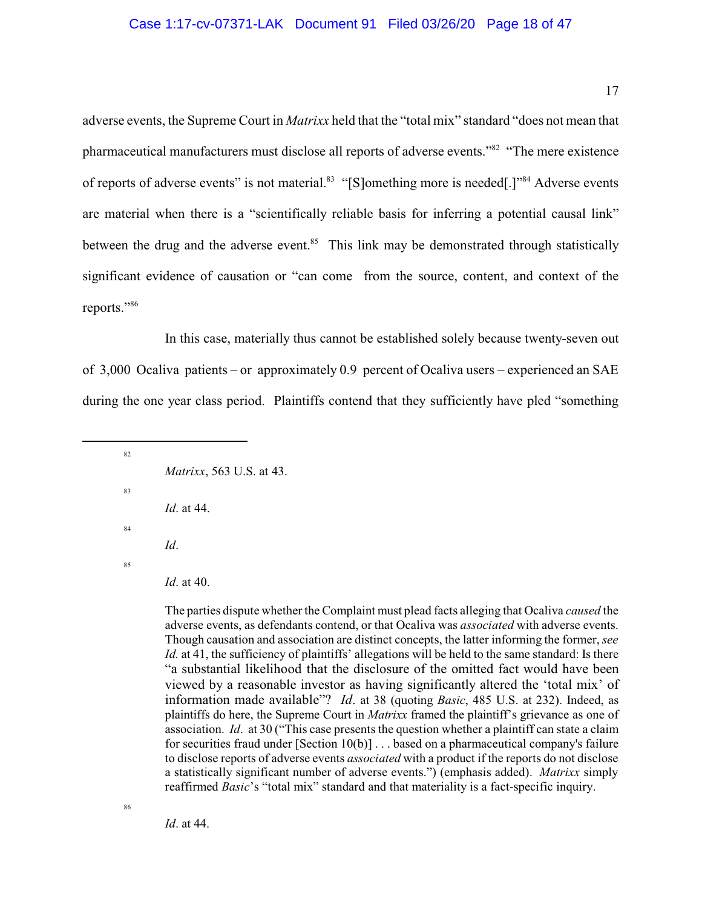#### Case 1:17-cv-07371-LAK Document 91 Filed 03/26/20 Page 18 of 47

adverse events, the Supreme Court in *Matrixx* held that the "total mix" standard "does not mean that pharmaceutical manufacturers must disclose all reports of adverse events."<sup>82</sup> "The mere existence of reports of adverse events" is not material.<sup>83</sup> "[S]omething more is needed[.]"<sup>84</sup> Adverse events are material when there is a "scientifically reliable basis for inferring a potential causal link" between the drug and the adverse event.<sup>85</sup> This link may be demonstrated through statistically significant evidence of causation or "can come from the source, content, and context of the reports."<sup>86</sup>

In this case, materially thus cannot be established solely because twenty-seven out of 3,000 Ocaliva patients – or approximately 0.9 percent of Ocaliva users – experienced an SAE during the one year class period. Plaintiffs contend that they sufficiently have pled "something

82 *Matrixx*, 563 U.S. at 43. 83 *Id*. at 44. 84 *Id*.

85

*Id*. at 40.

The parties dispute whether the Complaint must plead facts alleging that Ocaliva *caused* the adverse events, as defendants contend, or that Ocaliva was *associated* with adverse events. Though causation and association are distinct concepts, the latter informing the former, *see Id.* at 41, the sufficiency of plaintiffs' allegations will be held to the same standard: Is there "a substantial likelihood that the disclosure of the omitted fact would have been viewed by a reasonable investor as having significantly altered the 'total mix' of information made available"? *Id*. at 38 (quoting *Basic*, 485 U.S. at 232). Indeed, as plaintiffs do here, the Supreme Court in *Matrixx* framed the plaintiff's grievance as one of association. *Id*. at 30 ("This case presents the question whether a plaintiff can state a claim for securities fraud under [Section 10(b)] . . . based on a pharmaceutical company's failure to disclose reports of adverse events *associated* with a product if the reports do not disclose a statistically significant number of adverse events.") (emphasis added). *Matrixx* simply reaffirmed *Basic*'s "total mix" standard and that materiality is a fact-specific inquiry.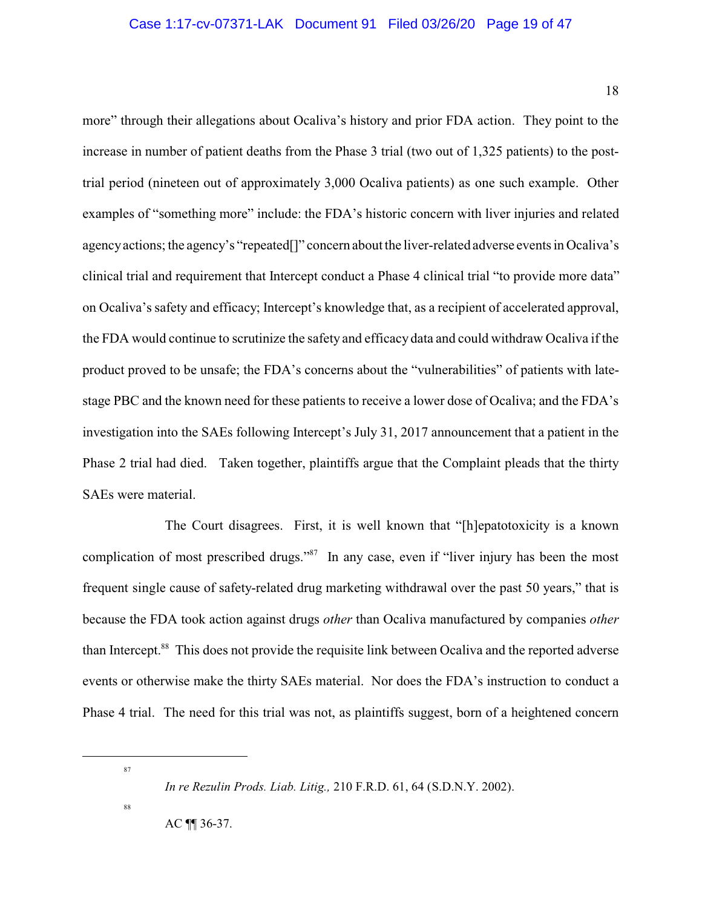more" through their allegations about Ocaliva's history and prior FDA action. They point to the increase in number of patient deaths from the Phase 3 trial (two out of 1,325 patients) to the posttrial period (nineteen out of approximately 3,000 Ocaliva patients) as one such example. Other examples of "something more" include: the FDA's historic concern with liver injuries and related agencyactions; the agency's "repeated[]" concern about the liver-related adverse events in Ocaliva's clinical trial and requirement that Intercept conduct a Phase 4 clinical trial "to provide more data" on Ocaliva's safety and efficacy; Intercept's knowledge that, as a recipient of accelerated approval, the FDA would continue to scrutinize the safety and efficacy data and could withdraw Ocaliva if the product proved to be unsafe; the FDA's concerns about the "vulnerabilities" of patients with latestage PBC and the known need for these patients to receive a lower dose of Ocaliva; and the FDA's investigation into the SAEs following Intercept's July 31, 2017 announcement that a patient in the Phase 2 trial had died. Taken together, plaintiffs argue that the Complaint pleads that the thirty SAEs were material.

The Court disagrees. First, it is well known that "[h]epatotoxicity is a known complication of most prescribed drugs."<sup>87</sup> In any case, even if "liver injury has been the most frequent single cause of safety-related drug marketing withdrawal over the past 50 years," that is because the FDA took action against drugs *other* than Ocaliva manufactured by companies *other* than Intercept.<sup>88</sup> This does not provide the requisite link between Ocaliva and the reported adverse events or otherwise make the thirty SAEs material. Nor does the FDA's instruction to conduct a Phase 4 trial. The need for this trial was not, as plaintiffs suggest, born of a heightened concern

87

88

AC ¶¶ 36-37.

*In re Rezulin Prods. Liab. Litig.,* 210 F.R.D. 61, 64 (S.D.N.Y. 2002).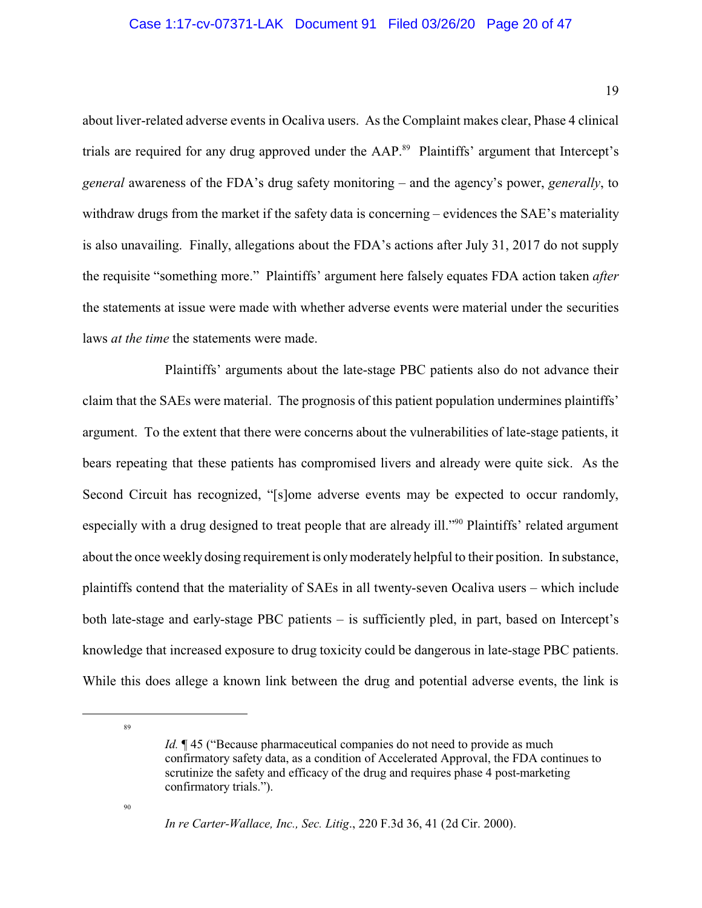### Case 1:17-cv-07371-LAK Document 91 Filed 03/26/20 Page 20 of 47

about liver-related adverse events in Ocaliva users. As the Complaint makes clear, Phase 4 clinical trials are required for any drug approved under the AAP.<sup>89</sup> Plaintiffs' argument that Intercept's *general* awareness of the FDA's drug safety monitoring – and the agency's power, *generally*, to withdraw drugs from the market if the safety data is concerning – evidences the SAE's materiality is also unavailing. Finally, allegations about the FDA's actions after July 31, 2017 do not supply the requisite "something more." Plaintiffs' argument here falsely equates FDA action taken *after* the statements at issue were made with whether adverse events were material under the securities laws *at the time* the statements were made.

Plaintiffs' arguments about the late-stage PBC patients also do not advance their claim that the SAEs were material. The prognosis of this patient population undermines plaintiffs' argument. To the extent that there were concerns about the vulnerabilities of late-stage patients, it bears repeating that these patients has compromised livers and already were quite sick. As the Second Circuit has recognized, "[s]ome adverse events may be expected to occur randomly, especially with a drug designed to treat people that are already ill."<sup>90</sup> Plaintiffs' related argument about the once weekly dosing requirement is onlymoderately helpful to their position. In substance, plaintiffs contend that the materiality of SAEs in all twenty-seven Ocaliva users – which include both late-stage and early-stage PBC patients – is sufficiently pled, in part, based on Intercept's knowledge that increased exposure to drug toxicity could be dangerous in late-stage PBC patients. While this does allege a known link between the drug and potential adverse events, the link is

89

*Id.*  $\P$  45 ("Because pharmaceutical companies do not need to provide as much confirmatory safety data, as a condition of Accelerated Approval, the FDA continues to scrutinize the safety and efficacy of the drug and requires phase 4 post-marketing confirmatory trials.").

*In re Carter-Wallace, Inc., Sec. Litig*., 220 F.3d 36, 41 (2d Cir. 2000).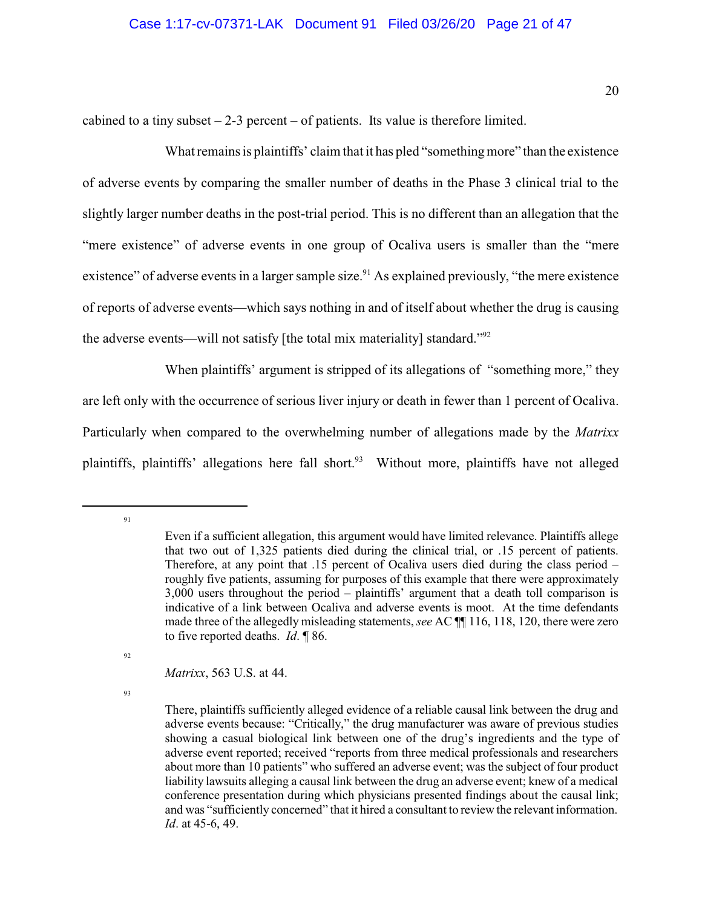cabined to a tiny subset  $-2-3$  percent  $-$  of patients. Its value is therefore limited.

What remains is plaintiffs' claim that it has pled "somethingmore" than the existence of adverse events by comparing the smaller number of deaths in the Phase 3 clinical trial to the slightly larger number deaths in the post-trial period. This is no different than an allegation that the "mere existence" of adverse events in one group of Ocaliva users is smaller than the "mere existence" of adverse events in a larger sample size.<sup>91</sup> As explained previously, "the mere existence" of reports of adverse events—which says nothing in and of itself about whether the drug is causing the adverse events—will not satisfy [the total mix materiality] standard."<sup>92</sup>

When plaintiffs' argument is stripped of its allegations of "something more," they are left only with the occurrence of serious liver injury or death in fewer than 1 percent of Ocaliva. Particularly when compared to the overwhelming number of allegations made by the *Matrixx* plaintiffs, plaintiffs' allegations here fall short.<sup>93</sup> Without more, plaintiffs have not alleged

91

92

*Matrixx*, 563 U.S. at 44.

Even if a sufficient allegation, this argument would have limited relevance. Plaintiffs allege that two out of 1,325 patients died during the clinical trial, or .15 percent of patients. Therefore, at any point that .15 percent of Ocaliva users died during the class period – roughly five patients, assuming for purposes of this example that there were approximately 3,000 users throughout the period – plaintiffs' argument that a death toll comparison is indicative of a link between Ocaliva and adverse events is moot. At the time defendants made three of the allegedly misleading statements, *see* AC ¶¶ 116, 118, 120, there were zero to five reported deaths. *Id*. ¶ 86.

There, plaintiffs sufficiently alleged evidence of a reliable causal link between the drug and adverse events because: "Critically," the drug manufacturer was aware of previous studies showing a casual biological link between one of the drug's ingredients and the type of adverse event reported; received "reports from three medical professionals and researchers about more than 10 patients" who suffered an adverse event; was the subject of four product liability lawsuits alleging a causal link between the drug an adverse event; knew of a medical conference presentation during which physicians presented findings about the causal link; and was "sufficiently concerned" that it hired a consultant to review the relevant information. *Id*. at 45-6, 49.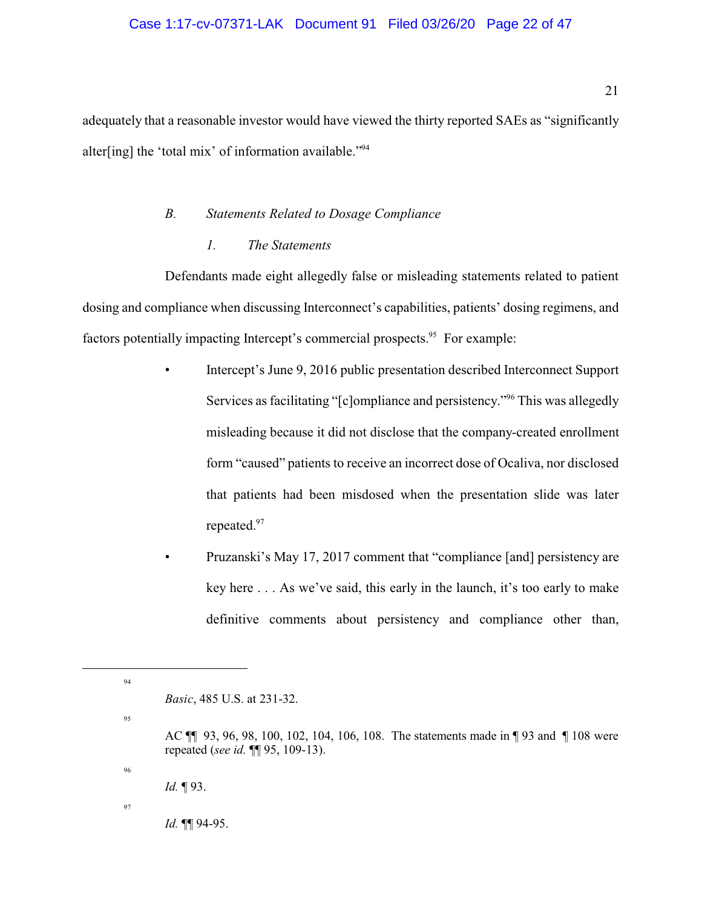## Case 1:17-cv-07371-LAK Document 91 Filed 03/26/20 Page 22 of 47

adequately that a reasonable investor would have viewed the thirty reported SAEs as "significantly alter[ing] the 'total mix' of information available."<sup>94</sup>

### *B. Statements Related to Dosage Compliance*

### *1. The Statements*

Defendants made eight allegedly false or misleading statements related to patient dosing and compliance when discussing Interconnect's capabilities, patients' dosing regimens, and factors potentially impacting Intercept's commercial prospects.<sup>95</sup> For example:

- Intercept's June 9, 2016 public presentation described Interconnect Support Services as facilitating "[c]ompliance and persistency."<sup>96</sup> This was allegedly misleading because it did not disclose that the company-created enrollment form "caused" patients to receive an incorrect dose of Ocaliva, nor disclosed that patients had been misdosed when the presentation slide was later repeated.<sup>97</sup>
	- Pruzanski's May 17, 2017 comment that "compliance [and] persistency are key here . . . As we've said, this early in the launch, it's too early to make definitive comments about persistency and compliance other than,

AC ¶¶ 93, 96, 98, 100, 102, 104, 106, 108. The statements made in ¶ 93 and ¶ 108 were repeated (*see id.* ¶¶ 95, 109-13).

97

96

94

*Basic*, 485 U.S. at 231-32.

*Id.* ¶ 93.

*Id.* ¶¶ 94-95.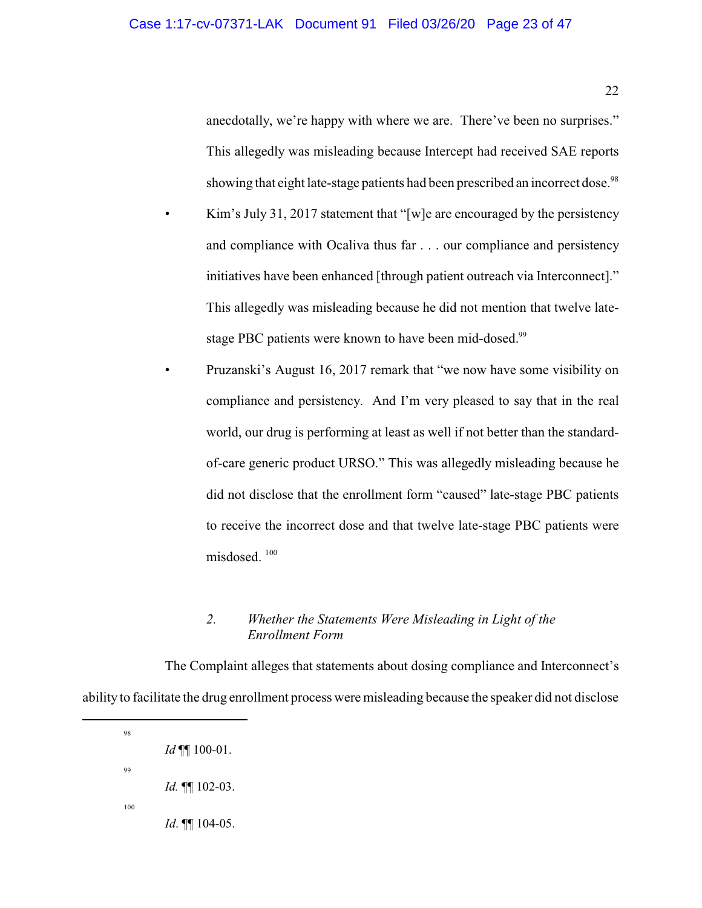anecdotally, we're happy with where we are. There've been no surprises." This allegedly was misleading because Intercept had received SAE reports showing that eight late-stage patients had been prescribed an incorrect dose.<sup>98</sup>

- Kim's July 31, 2017 statement that "[w]e are encouraged by the persistency and compliance with Ocaliva thus far . . . our compliance and persistency initiatives have been enhanced [through patient outreach via Interconnect]." This allegedly was misleading because he did not mention that twelve latestage PBC patients were known to have been mid-dosed.<sup>99</sup>
- Pruzanski's August 16, 2017 remark that "we now have some visibility on compliance and persistency. And I'm very pleased to say that in the real world, our drug is performing at least as well if not better than the standardof-care generic product URSO." This was allegedly misleading because he did not disclose that the enrollment form "caused" late-stage PBC patients to receive the incorrect dose and that twelve late-stage PBC patients were misdosed.<sup>100</sup>

# *2. Whether the Statements Were Misleading in Light of the Enrollment Form*

The Complaint alleges that statements about dosing compliance and Interconnect's ability to facilitate the drug enrollment process were misleading because the speaker did not disclose

100

98

99

*Id* ¶¶ 100-01.

*Id.* ¶¶ 102-03.

*Id*. ¶¶ 104-05.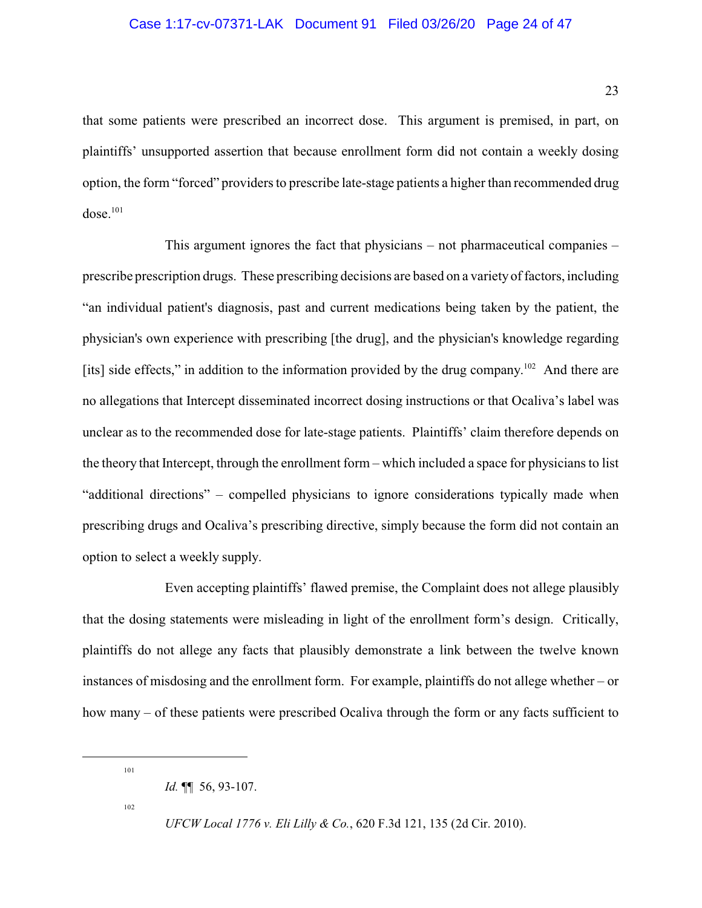## Case 1:17-cv-07371-LAK Document 91 Filed 03/26/20 Page 24 of 47

that some patients were prescribed an incorrect dose. This argument is premised, in part, on plaintiffs' unsupported assertion that because enrollment form did not contain a weekly dosing option, the form "forced" providers to prescribe late-stage patients a higher than recommended drug  $dose.<sup>101</sup>$ 

This argument ignores the fact that physicians – not pharmaceutical companies – prescribe prescription drugs. These prescribing decisions are based on a varietyof factors, including "an individual patient's diagnosis, past and current medications being taken by the patient, the physician's own experience with prescribing [the drug], and the physician's knowledge regarding [its] side effects," in addition to the information provided by the drug company.<sup>102</sup> And there are no allegations that Intercept disseminated incorrect dosing instructions or that Ocaliva's label was unclear as to the recommended dose for late-stage patients. Plaintiffs' claim therefore depends on the theory that Intercept, through the enrollment form – which included a space for physicians to list "additional directions" – compelled physicians to ignore considerations typically made when prescribing drugs and Ocaliva's prescribing directive, simply because the form did not contain an option to select a weekly supply.

Even accepting plaintiffs' flawed premise, the Complaint does not allege plausibly that the dosing statements were misleading in light of the enrollment form's design. Critically, plaintiffs do not allege any facts that plausibly demonstrate a link between the twelve known instances of misdosing and the enrollment form. For example, plaintiffs do not allege whether – or how many – of these patients were prescribed Ocaliva through the form or any facts sufficient to

101

102

*Id.* ¶¶ 56, 93-107.

*UFCW Local 1776 v. Eli Lilly & Co.*, 620 F.3d 121, 135 (2d Cir. 2010).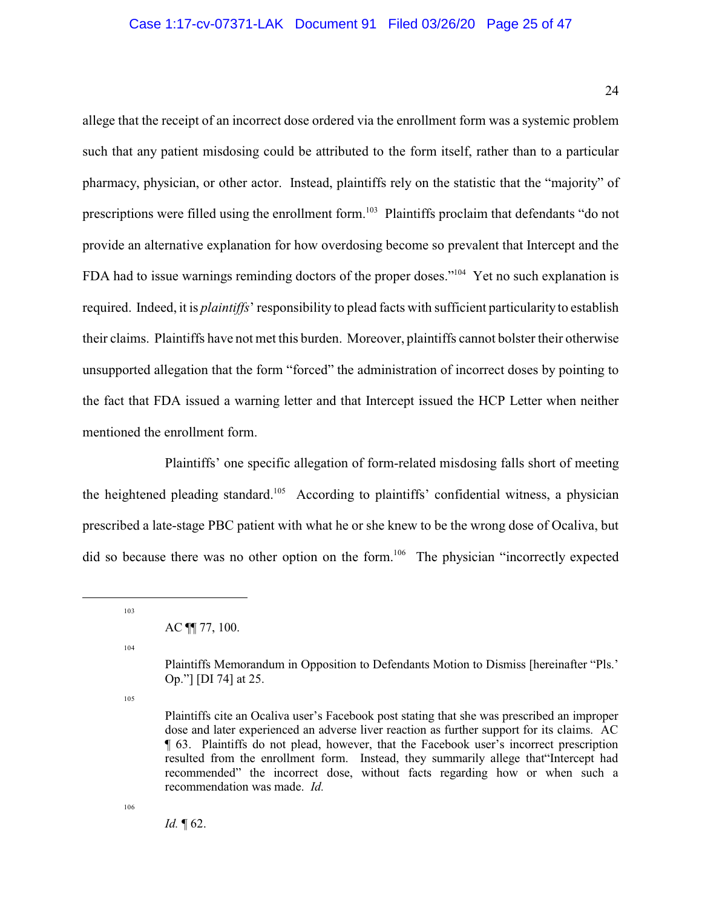### Case 1:17-cv-07371-LAK Document 91 Filed 03/26/20 Page 25 of 47

allege that the receipt of an incorrect dose ordered via the enrollment form was a systemic problem such that any patient misdosing could be attributed to the form itself, rather than to a particular pharmacy, physician, or other actor. Instead, plaintiffs rely on the statistic that the "majority" of prescriptions were filled using the enrollment form.<sup>103</sup> Plaintiffs proclaim that defendants "do not provide an alternative explanation for how overdosing become so prevalent that Intercept and the FDA had to issue warnings reminding doctors of the proper doses."<sup>104</sup> Yet no such explanation is required. Indeed, it is *plaintiffs*' responsibility to plead facts with sufficient particularity to establish their claims. Plaintiffs have not met this burden. Moreover, plaintiffs cannot bolster their otherwise unsupported allegation that the form "forced" the administration of incorrect doses by pointing to the fact that FDA issued a warning letter and that Intercept issued the HCP Letter when neither mentioned the enrollment form.

Plaintiffs' one specific allegation of form-related misdosing falls short of meeting the heightened pleading standard.<sup>105</sup> According to plaintiffs' confidential witness, a physician prescribed a late-stage PBC patient with what he or she knew to be the wrong dose of Ocaliva, but did so because there was no other option on the form.<sup>106</sup> The physician "incorrectly expected

AC ¶¶ 77, 100.

104

103

105

106

*Id.* ¶ 62.

Plaintiffs Memorandum in Opposition to Defendants Motion to Dismiss [hereinafter "Pls.' Op."] [DI 74] at 25.

Plaintiffs cite an Ocaliva user's Facebook post stating that she was prescribed an improper dose and later experienced an adverse liver reaction as further support for its claims. AC ¶ 63. Plaintiffs do not plead, however, that the Facebook user's incorrect prescription resulted from the enrollment form. Instead, they summarily allege that"Intercept had recommended" the incorrect dose, without facts regarding how or when such a recommendation was made. *Id.*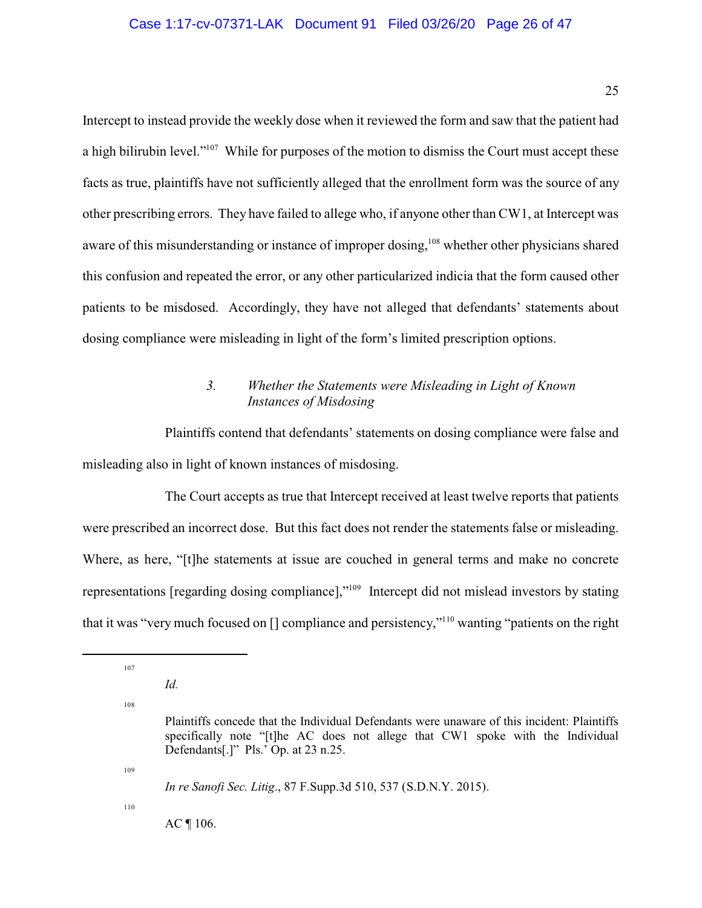## Case 1:17-cv-07371-LAK Document 91 Filed 03/26/20 Page 26 of 47

Intercept to instead provide the weekly dose when it reviewed the form and saw that the patient had a high bilirubin level."<sup>107</sup> While for purposes of the motion to dismiss the Court must accept these facts as true, plaintiffs have not sufficiently alleged that the enrollment form was the source of any other prescribing errors. They have failed to allege who, if anyone other than CW1, at Intercept was aware of this misunderstanding or instance of improper dosing,<sup>108</sup> whether other physicians shared this confusion and repeated the error, or any other particularized indicia that the form caused other patients to be misdosed. Accordingly, they have not alleged that defendants' statements about dosing compliance were misleading in light of the form's limited prescription options.

# *3. Whether the Statements were Misleading in Light of Known Instances of Misdosing*

Plaintiffs contend that defendants' statements on dosing compliance were false and misleading also in light of known instances of misdosing.

The Court accepts as true that Intercept received at least twelve reports that patients were prescribed an incorrect dose. But this fact does not render the statements false or misleading. Where, as here, "[t]he statements at issue are couched in general terms and make no concrete representations [regarding dosing compliance],"<sup>109</sup> Intercept did not mislead investors by stating that it was "very much focused on [] compliance and persistency,"<sup>110</sup> wanting "patients on the right

107

108

*Id.* 

109

*In re Sanofi Sec. Litig*., 87 F.Supp.3d 510, 537 (S.D.N.Y. 2015).

110

 $AC \parallel 106$ .

Plaintiffs concede that the Individual Defendants were unaware of this incident: Plaintiffs specifically note "[t]he AC does not allege that CW1 spoke with the Individual Defendants[.]" Pls.' Op. at 23 n.25.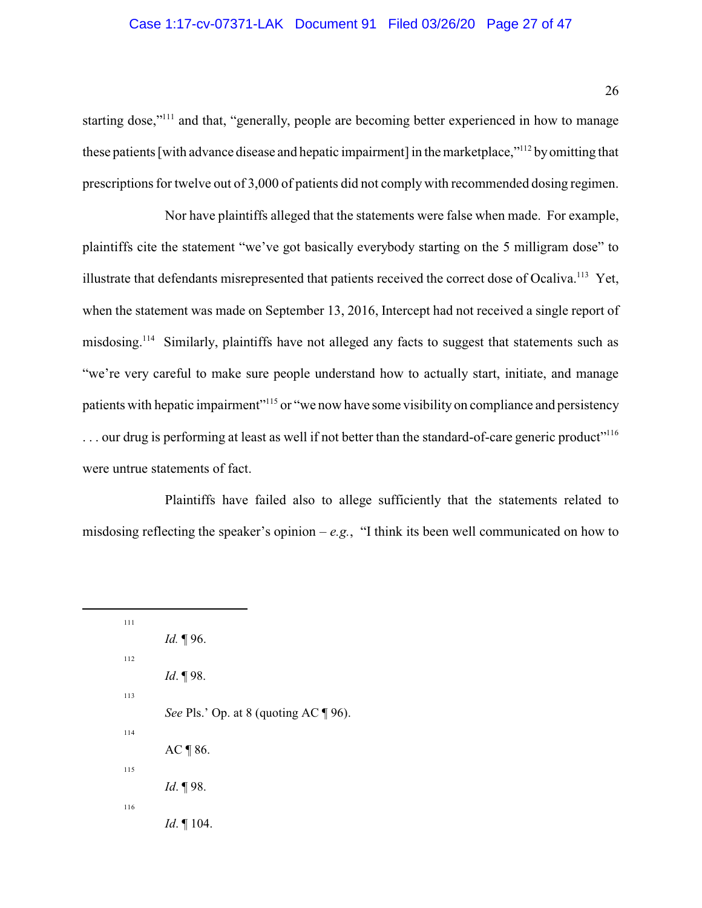## Case 1:17-cv-07371-LAK Document 91 Filed 03/26/20 Page 27 of 47

starting dose,"<sup>111</sup> and that, "generally, people are becoming better experienced in how to manage these patients [with advance disease and hepatic impairment] in the marketplace,"<sup>112</sup> by omitting that prescriptions for twelve out of 3,000 of patients did not comply with recommended dosing regimen.

Nor have plaintiffs alleged that the statements were false when made. For example, plaintiffs cite the statement "we've got basically everybody starting on the 5 milligram dose" to illustrate that defendants misrepresented that patients received the correct dose of Ocaliva.<sup>113</sup> Yet, when the statement was made on September 13, 2016, Intercept had not received a single report of misdosing.<sup>114</sup> Similarly, plaintiffs have not alleged any facts to suggest that statements such as "we're very careful to make sure people understand how to actually start, initiate, and manage patients with hepatic impairment"<sup>115</sup> or "we now have some visibility on compliance and persistency ... our drug is performing at least as well if not better than the standard-of-care generic product"<sup>116</sup> were untrue statements of fact.

Plaintiffs have failed also to allege sufficiently that the statements related to misdosing reflecting the speaker's opinion –  $e.g.,$  "I think its been well communicated on how to

<sup>111</sup> *Id.* ¶ 96. 112 *Id*. ¶ 98. 113 *See Pls.' Op. at 8 (quoting AC* ¶ 96). 114 AC ¶ 86. 115 *Id*. ¶ 98. 116 *Id*. ¶ 104.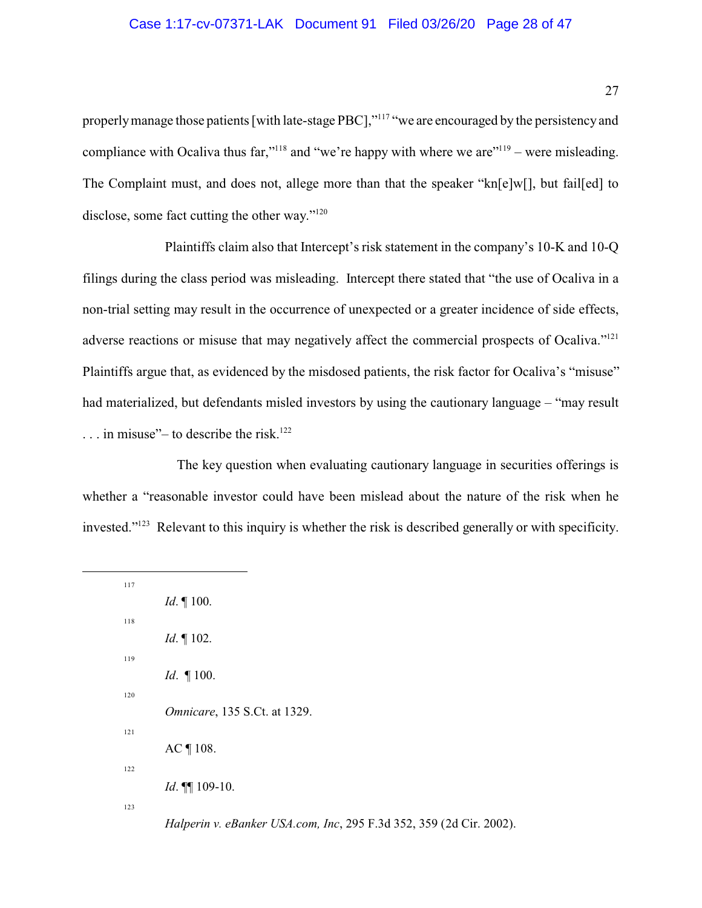### Case 1:17-cv-07371-LAK Document 91 Filed 03/26/20 Page 28 of 47

properly manage those patients [with late-stage PBC],"<sup>117</sup> "we are encouraged by the persistency and compliance with Ocaliva thus far,"<sup>118</sup> and "we're happy with where we are"<sup>119</sup> – were misleading. The Complaint must, and does not, allege more than that the speaker "kn[e]w[], but fail[ed] to disclose, some fact cutting the other way."<sup>120</sup>

Plaintiffs claim also that Intercept's risk statement in the company's 10-K and 10-Q filings during the class period was misleading. Intercept there stated that "the use of Ocaliva in a non-trial setting may result in the occurrence of unexpected or a greater incidence of side effects, adverse reactions or misuse that may negatively affect the commercial prospects of Ocaliva."<sup>121</sup> Plaintiffs argue that, as evidenced by the misdosed patients, the risk factor for Ocaliva's "misuse" had materialized, but defendants misled investors by using the cautionary language – "may result  $\ldots$  in misuse"– to describe the risk.<sup>122</sup>

The key question when evaluating cautionary language in securities offerings is whether a "reasonable investor could have been mislead about the nature of the risk when he invested."<sup>123</sup> Relevant to this inquiry is whether the risk is described generally or with specificity.

<sup>117</sup> *Id*. ¶ 100. 118 *Id*. ¶ 102. 119 *Id*. ¶ 100. 120 *Omnicare*, 135 S.Ct. at 1329. 121 AC ¶ 108. 122 *Id*. ¶¶ 109-10. 123 *Halperin v. eBanker USA.com, Inc*, 295 F.3d 352, 359 (2d Cir. 2002).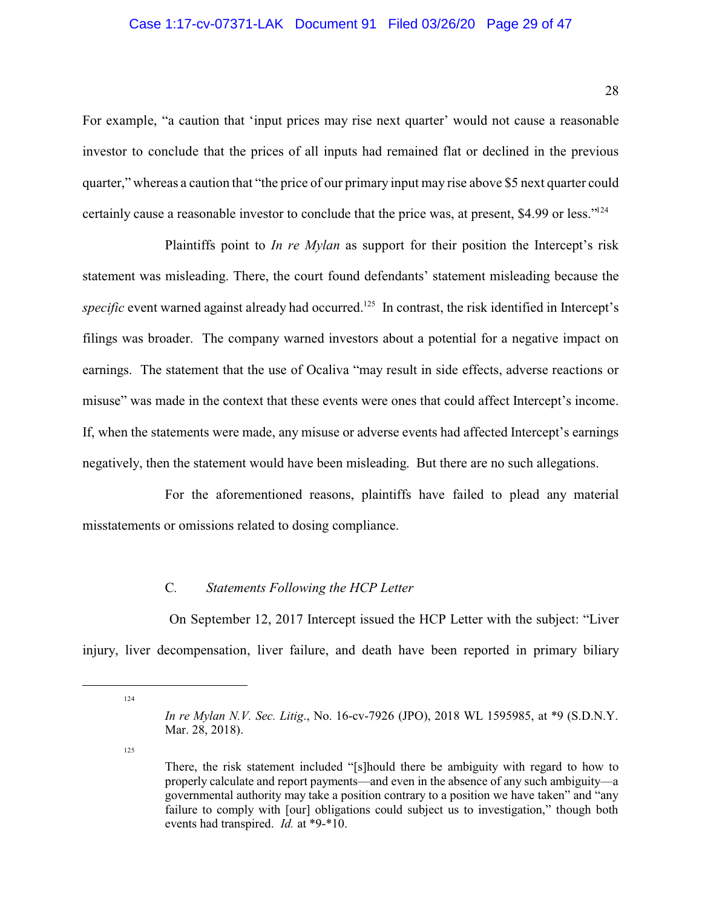#### Case 1:17-cv-07371-LAK Document 91 Filed 03/26/20 Page 29 of 47

For example, "a caution that 'input prices may rise next quarter' would not cause a reasonable investor to conclude that the prices of all inputs had remained flat or declined in the previous quarter," whereas a caution that "the price of our primary input may rise above \$5 next quarter could certainly cause a reasonable investor to conclude that the price was, at present, \$4.99 or less."<sup>124</sup>

Plaintiffs point to *In re Mylan* as support for their position the Intercept's risk statement was misleading. There, the court found defendants' statement misleading because the specific event warned against already had occurred.<sup>125</sup> In contrast, the risk identified in Intercept's filings was broader. The company warned investors about a potential for a negative impact on earnings. The statement that the use of Ocaliva "may result in side effects, adverse reactions or misuse" was made in the context that these events were ones that could affect Intercept's income. If, when the statements were made, any misuse or adverse events had affected Intercept's earnings negatively, then the statement would have been misleading. But there are no such allegations.

For the aforementioned reasons, plaintiffs have failed to plead any material misstatements or omissions related to dosing compliance.

## C*. Statements Following the HCP Letter*

On September 12, 2017 Intercept issued the HCP Letter with the subject: "Liver injury, liver decompensation, liver failure, and death have been reported in primary biliary

125

<sup>124</sup>

*In re Mylan N.V. Sec. Litig*., No. 16-cv-7926 (JPO), 2018 WL 1595985, at \*9 (S.D.N.Y. Mar. 28, 2018).

There, the risk statement included "[s]hould there be ambiguity with regard to how to properly calculate and report payments—and even in the absence of any such ambiguity—a governmental authority may take a position contrary to a position we have taken" and "any failure to comply with [our] obligations could subject us to investigation," though both events had transpired. *Id.* at \*9-\*10.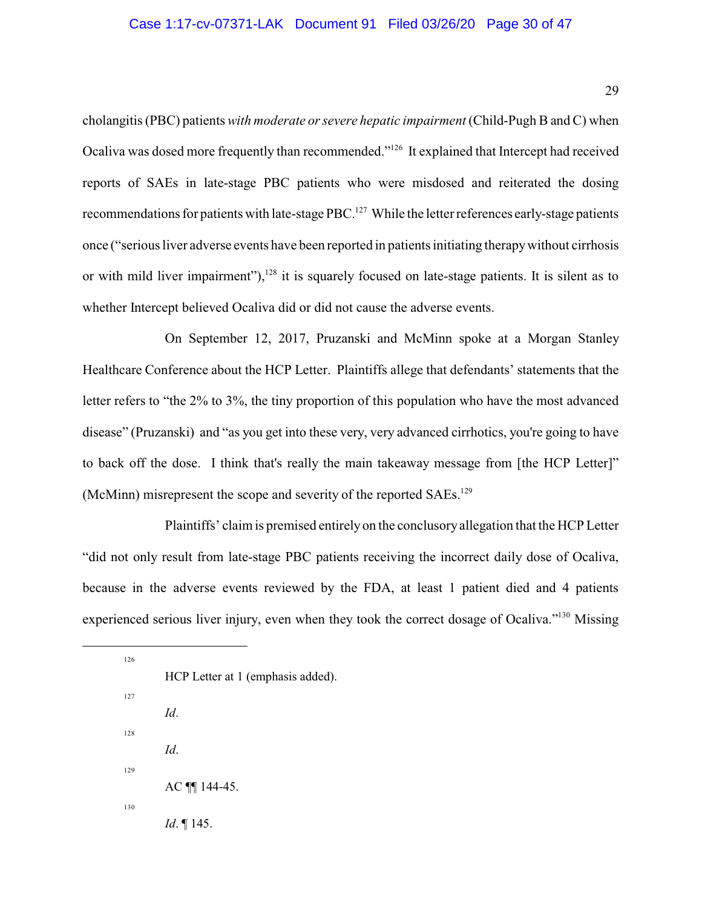### Case 1:17-cv-07371-LAK Document 91 Filed 03/26/20 Page 30 of 47

cholangitis (PBC) patients *with moderate or severe hepatic impairment* (Child-Pugh B and C) when Ocaliva was dosed more frequently than recommended."<sup>126</sup> It explained that Intercept had received reports of SAEs in late-stage PBC patients who were misdosed and reiterated the dosing recommendations for patients with late-stage PBC.<sup>127</sup> While the letter references early-stage patients once ("serious liver adverse events have been reported in patients initiating therapywithout cirrhosis or with mild liver impairment"),<sup>128</sup> it is squarely focused on late-stage patients. It is silent as to whether Intercept believed Ocaliva did or did not cause the adverse events.

On September 12, 2017, Pruzanski and McMinn spoke at a Morgan Stanley Healthcare Conference about the HCP Letter. Plaintiffs allege that defendants' statements that the letter refers to "the 2% to 3%, the tiny proportion of this population who have the most advanced disease" (Pruzanski) and "as you get into these very, very advanced cirrhotics, you're going to have to back off the dose. I think that's really the main takeaway message from [the HCP Letter]" (McMinn) misrepresent the scope and severity of the reported SAEs.<sup>129</sup>

Plaintiffs' claim is premised entirelyon the conclusory allegation that the HCP Letter "did not only result from late-stage PBC patients receiving the incorrect daily dose of Ocaliva, because in the adverse events reviewed by the FDA, at least 1 patient died and 4 patients experienced serious liver injury, even when they took the correct dosage of Ocaliva."<sup>130</sup> Missing

<sup>126</sup> HCP Letter at 1 (emphasis added). 127 *Id*. 128 *Id*. 129 AC ¶¶ 144-45. 130 *Id*. ¶ 145.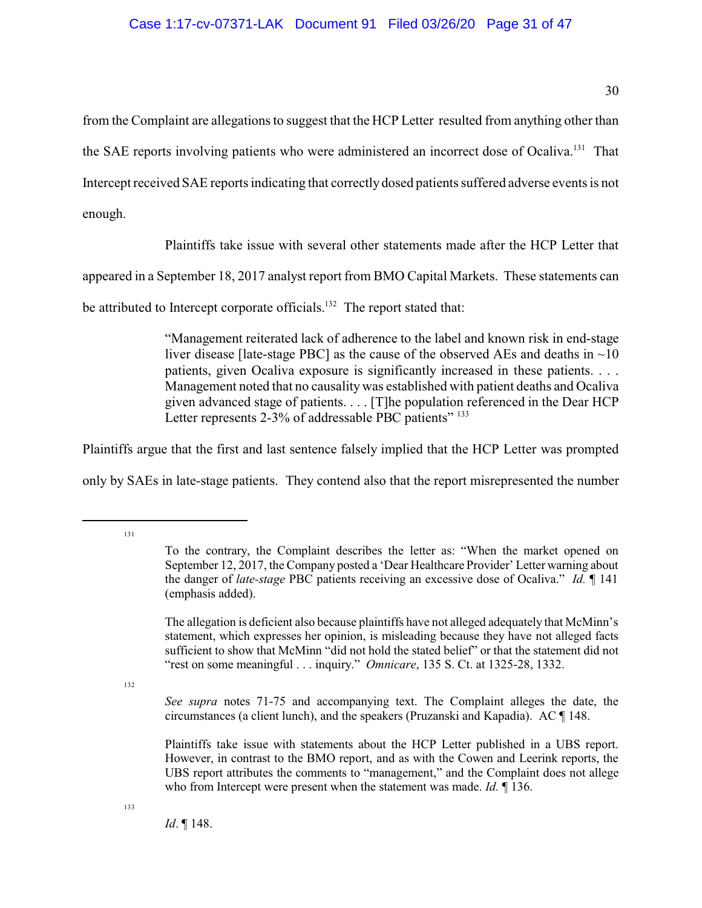from the Complaint are allegations to suggest that the HCP Letter resulted from anything other than the SAE reports involving patients who were administered an incorrect dose of Ocaliva.<sup>131</sup> That Intercept received SAE reports indicating that correctly dosed patients suffered adverse events is not enough.

Plaintiffs take issue with several other statements made after the HCP Letter that

appeared in a September 18, 2017 analyst report from BMO Capital Markets. These statements can

be attributed to Intercept corporate officials.<sup>132</sup> The report stated that:

"Management reiterated lack of adherence to the label and known risk in end-stage liver disease [late-stage PBC] as the cause of the observed AEs and deaths in  $\sim 10$ patients, given Ocaliva exposure is significantly increased in these patients. . . . Management noted that no causality was established with patient deaths and Ocaliva given advanced stage of patients. . . . [T]he population referenced in the Dear HCP Letter represents 2-3% of addressable PBC patients" 133

Plaintiffs argue that the first and last sentence falsely implied that the HCP Letter was prompted only by SAEs in late-stage patients. They contend also that the report misrepresented the number

131

132

*See supra* notes 71-75 and accompanying text. The Complaint alleges the date, the circumstances (a client lunch), and the speakers (Pruzanski and Kapadia). AC ¶ 148.

Plaintiffs take issue with statements about the HCP Letter published in a UBS report. However, in contrast to the BMO report, and as with the Cowen and Leerink reports, the UBS report attributes the comments to "management," and the Complaint does not allege who from Intercept were present when the statement was made. *Id.* ¶ 136.

To the contrary, the Complaint describes the letter as: "When the market opened on September 12, 2017, the Company posted a 'Dear Healthcare Provider' Letter warning about the danger of *late-stage* PBC patients receiving an excessive dose of Ocaliva." *Id.* ¶ 141 (emphasis added).

The allegation is deficient also because plaintiffs have not alleged adequately that McMinn's statement, which expresses her opinion, is misleading because they have not alleged facts sufficient to show that McMinn "did not hold the stated belief" or that the statement did not "rest on some meaningful . . . inquiry." *Omnicare*, 135 S. Ct. at 1325-28, 1332.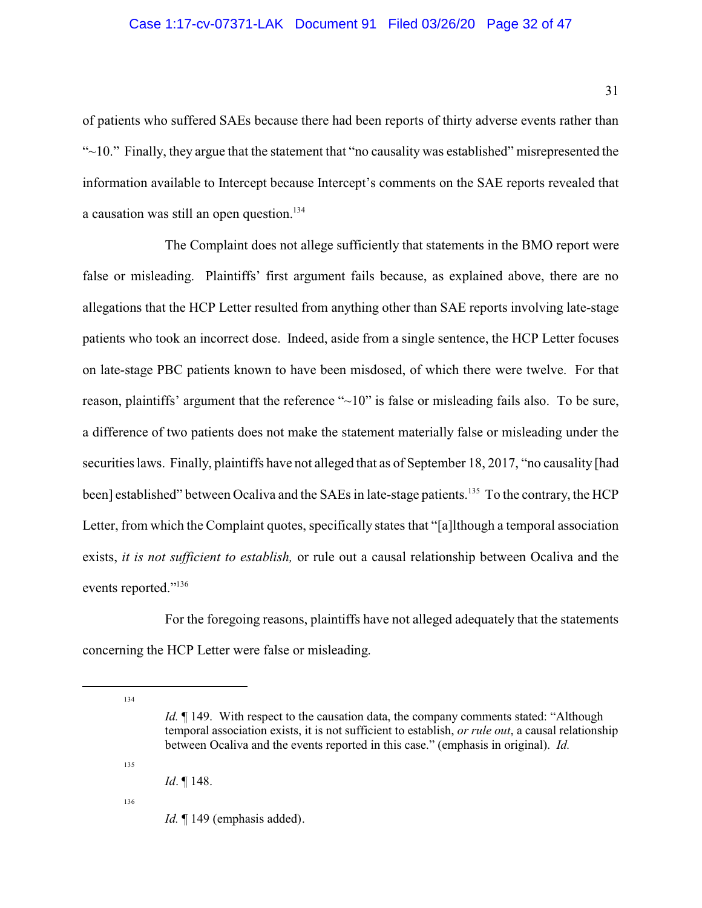# Case 1:17-cv-07371-LAK Document 91 Filed 03/26/20 Page 32 of 47

of patients who suffered SAEs because there had been reports of thirty adverse events rather than "~10." Finally, they argue that the statement that "no causality was established" misrepresented the information available to Intercept because Intercept's comments on the SAE reports revealed that a causation was still an open question.<sup>134</sup>

The Complaint does not allege sufficiently that statements in the BMO report were false or misleading. Plaintiffs' first argument fails because, as explained above, there are no allegations that the HCP Letter resulted from anything other than SAE reports involving late-stage patients who took an incorrect dose. Indeed, aside from a single sentence, the HCP Letter focuses on late-stage PBC patients known to have been misdosed, of which there were twelve. For that reason, plaintiffs' argument that the reference "~10" is false or misleading fails also. To be sure, a difference of two patients does not make the statement materially false or misleading under the securities laws. Finally, plaintiffs have not alleged that as of September 18, 2017, "no causality [had been] established" between Ocaliva and the SAEs in late-stage patients.<sup>135</sup> To the contrary, the HCP Letter, from which the Complaint quotes, specifically states that "[a]lthough a temporal association exists, *it is not sufficient to establish,* or rule out a causal relationship between Ocaliva and the events reported."<sup>136</sup>

For the foregoing reasons, plaintiffs have not alleged adequately that the statements concerning the HCP Letter were false or misleading.

134

135

*Id.*  $\P$  149. With respect to the causation data, the company comments stated: "Although temporal association exists, it is not sufficient to establish, *or rule out*, a causal relationship between Ocaliva and the events reported in this case." (emphasis in original). *Id.* 

*Id*. ¶ 148.

*Id.* 149 (emphasis added).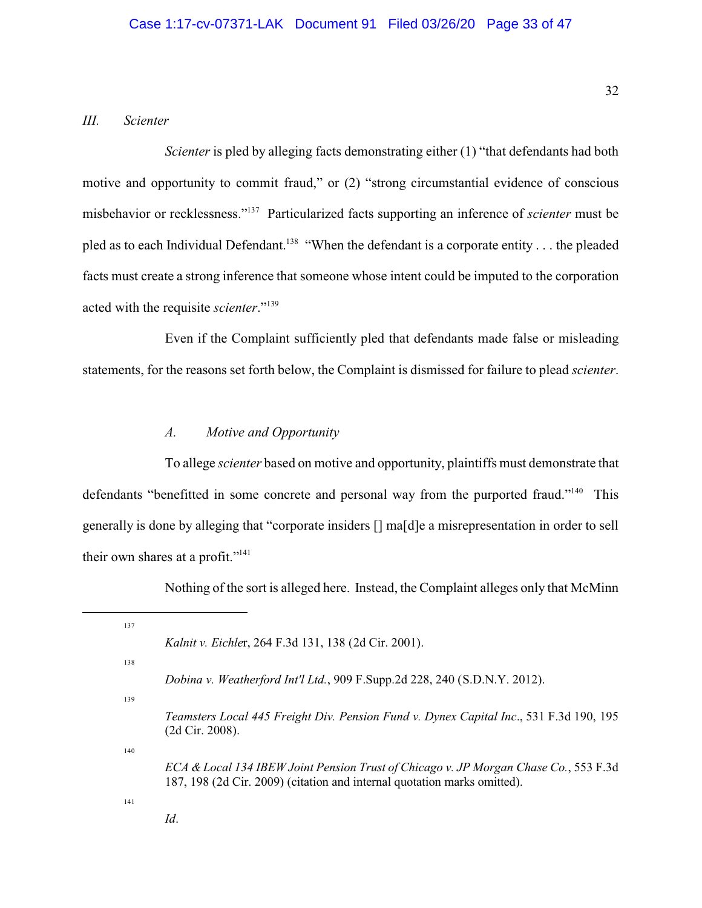# *III. Scienter*

*Scienter* is pled by alleging facts demonstrating either (1) "that defendants had both motive and opportunity to commit fraud," or (2) "strong circumstantial evidence of conscious misbehavior or recklessness."<sup>137</sup> Particularized facts supporting an inference of *scienter* must be pled as to each Individual Defendant.<sup>138</sup> "When the defendant is a corporate entity . . . the pleaded facts must create a strong inference that someone whose intent could be imputed to the corporation acted with the requisite *scienter*."<sup>139</sup>

Even if the Complaint sufficiently pled that defendants made false or misleading statements, for the reasons set forth below, the Complaint is dismissed for failure to plead *scienter*.

### *A. Motive and Opportunity*

To allege *scienter* based on motive and opportunity, plaintiffs must demonstrate that defendants "benefitted in some concrete and personal way from the purported fraud."<sup>140</sup> This generally is done by alleging that "corporate insiders [] ma[d]e a misrepresentation in order to sell their own shares at a profit."<sup>141</sup>

Nothing of the sort is alleged here. Instead, the Complaint alleges only that McMinn

| 137 |                                                                                                                                                                  |
|-----|------------------------------------------------------------------------------------------------------------------------------------------------------------------|
|     | <i>Kalnit v. Eichler, 264 F.3d 131, 138 (2d Cir. 2001).</i>                                                                                                      |
| 138 |                                                                                                                                                                  |
|     | Dobina v. Weatherford Int'l Ltd., 909 F.Supp.2d 228, 240 (S.D.N.Y. 2012).                                                                                        |
| 139 |                                                                                                                                                                  |
|     | Teamsters Local 445 Freight Div. Pension Fund v. Dynex Capital Inc., 531 F.3d 190, 195<br>$(2d$ Cir. 2008).                                                      |
| 140 |                                                                                                                                                                  |
|     | ECA & Local 134 IBEW Joint Pension Trust of Chicago v. JP Morgan Chase Co., 553 F.3d<br>187, 198 (2d Cir. 2009) (citation and internal quotation marks omitted). |
| 141 |                                                                                                                                                                  |
|     | Id.                                                                                                                                                              |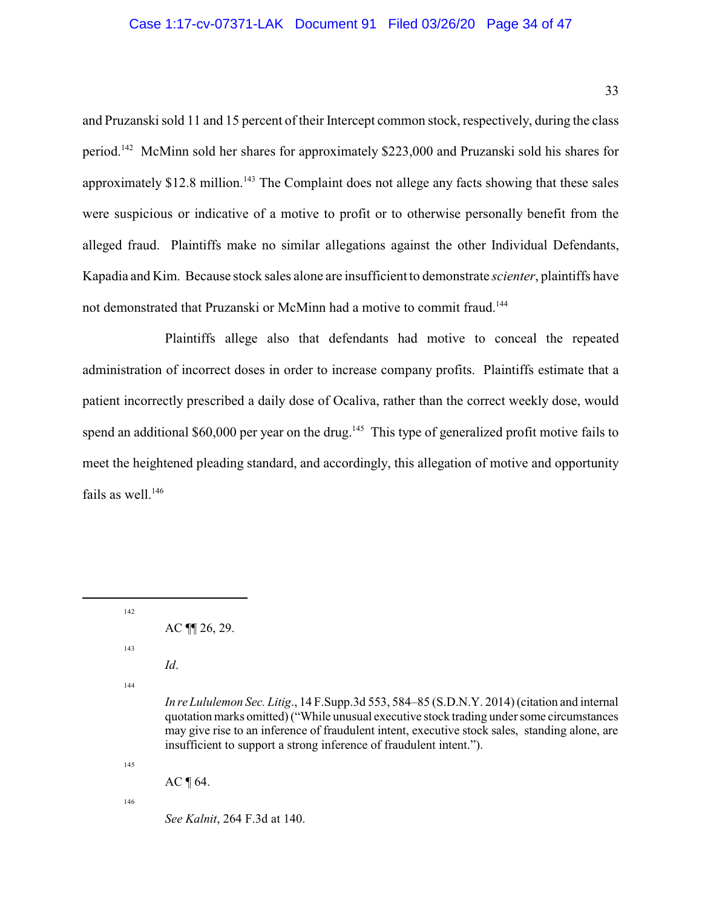### Case 1:17-cv-07371-LAK Document 91 Filed 03/26/20 Page 34 of 47

and Pruzanski sold 11 and 15 percent of their Intercept common stock, respectively, during the class period.<sup>142</sup> McMinn sold her shares for approximately \$223,000 and Pruzanski sold his shares for approximately \$12.8 million.<sup>143</sup> The Complaint does not allege any facts showing that these sales were suspicious or indicative of a motive to profit or to otherwise personally benefit from the alleged fraud. Plaintiffs make no similar allegations against the other Individual Defendants, Kapadia and Kim. Because stock sales alone are insufficient to demonstrate *scienter*, plaintiffs have not demonstrated that Pruzanski or McMinn had a motive to commit fraud.<sup>144</sup>

Plaintiffs allege also that defendants had motive to conceal the repeated administration of incorrect doses in order to increase company profits. Plaintiffs estimate that a patient incorrectly prescribed a daily dose of Ocaliva, rather than the correct weekly dose, would spend an additional \$60,000 per year on the drug.<sup>145</sup> This type of generalized profit motive fails to meet the heightened pleading standard, and accordingly, this allegation of motive and opportunity fails as well. $146$ 

142

143

*Id*.

144

145

 $AC \$  [64.

146

*See Kalnit*, 264 F.3d at 140.

 $AC \parallel 26, 29.$ 

*In re Lululemon Sec. Litig*., 14 F.Supp.3d 553, 584–85 (S.D.N.Y. 2014)(citation and internal quotation marks omitted)("While unusual executive stock trading undersome circumstances may give rise to an inference of fraudulent intent, executive stock sales, standing alone, are insufficient to support a strong inference of fraudulent intent.").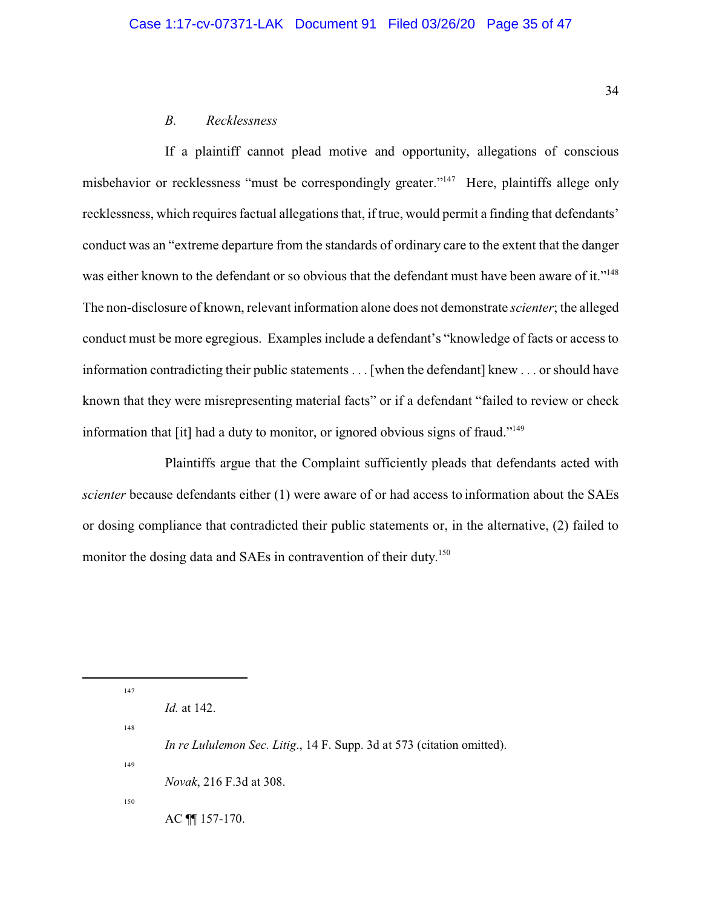# *B. Recklessness*

If a plaintiff cannot plead motive and opportunity, allegations of conscious misbehavior or recklessness "must be correspondingly greater."<sup>147</sup> Here, plaintiffs allege only recklessness, which requires factual allegations that, if true, would permit a finding that defendants' conduct was an "extreme departure from the standards of ordinary care to the extent that the danger was either known to the defendant or so obvious that the defendant must have been aware of it."<sup>148</sup> The non-disclosure of known, relevant information alone does not demonstrate *scienter*; the alleged conduct must be more egregious. Examples include a defendant's "knowledge of facts or access to information contradicting their public statements . . . [when the defendant] knew . . . or should have known that they were misrepresenting material facts" or if a defendant "failed to review or check information that [it] had a duty to monitor, or ignored obvious signs of fraud."<sup>149</sup>

Plaintiffs argue that the Complaint sufficiently pleads that defendants acted with *scienter* because defendants either (1) were aware of or had access to information about the SAEs or dosing compliance that contradicted their public statements or, in the alternative, (2) failed to monitor the dosing data and SAEs in contravention of their duty.<sup>150</sup>

148

147

*Novak*, 216 F.3d at 308.

150

149

AC ¶¶ 157-170.

*Id.* at 142.

*In re Lululemon Sec. Litig*., 14 F. Supp. 3d at 573 (citation omitted).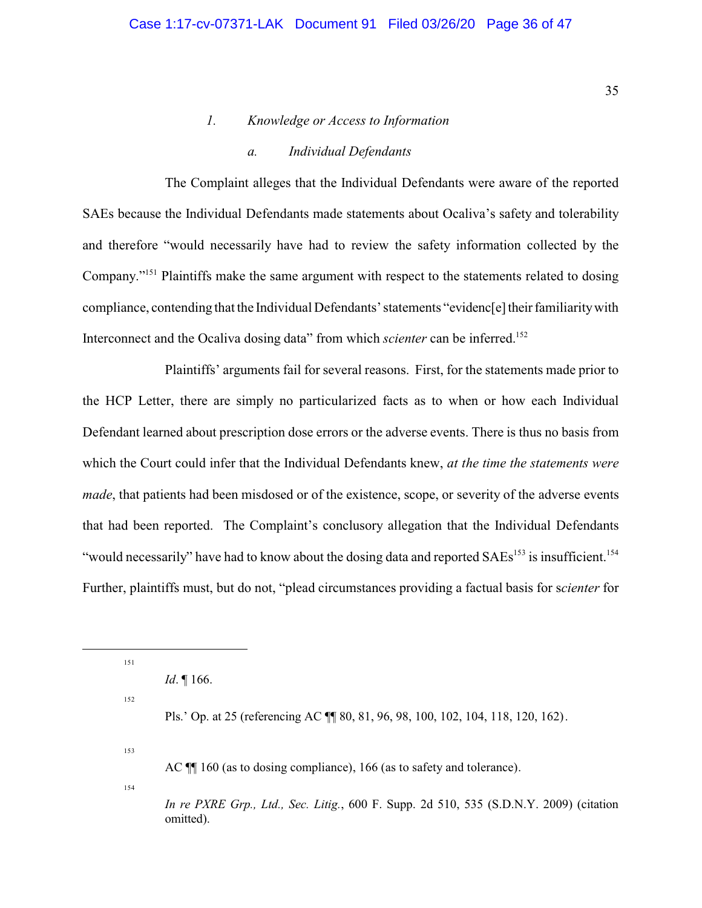# *1. Knowledge or Access to Information*

# *a. Individual Defendants*

The Complaint alleges that the Individual Defendants were aware of the reported SAEs because the Individual Defendants made statements about Ocaliva's safety and tolerability and therefore "would necessarily have had to review the safety information collected by the Company."<sup>151</sup> Plaintiffs make the same argument with respect to the statements related to dosing compliance, contending that the Individual Defendants' statements "evidenc[e] their familiaritywith Interconnect and the Ocaliva dosing data" from which *scienter* can be inferred.<sup>152</sup>

Plaintiffs' arguments fail for several reasons. First, for the statements made prior to the HCP Letter, there are simply no particularized facts as to when or how each Individual Defendant learned about prescription dose errors or the adverse events. There is thus no basis from which the Court could infer that the Individual Defendants knew, *at the time the statements were made*, that patients had been misdosed or of the existence, scope, or severity of the adverse events that had been reported. The Complaint's conclusory allegation that the Individual Defendants "would necessarily" have had to know about the dosing data and reported  $SAEs<sup>153</sup>$  is insufficient.<sup>154</sup> Further, plaintiffs must, but do not, "plead circumstances providing a factual basis for s*cienter* for

151

*Id*. ¶ 166.

152

Pls.' Op. at 25 (referencing AC ¶¶ 80, 81, 96, 98, 100, 102, 104, 118, 120, 162).

153

AC  $\P$  160 (as to dosing compliance), 166 (as to safety and tolerance).

154

*In re PXRE Grp., Ltd., Sec. Litig.*, 600 F. Supp. 2d 510, 535 (S.D.N.Y. 2009) (citation omitted).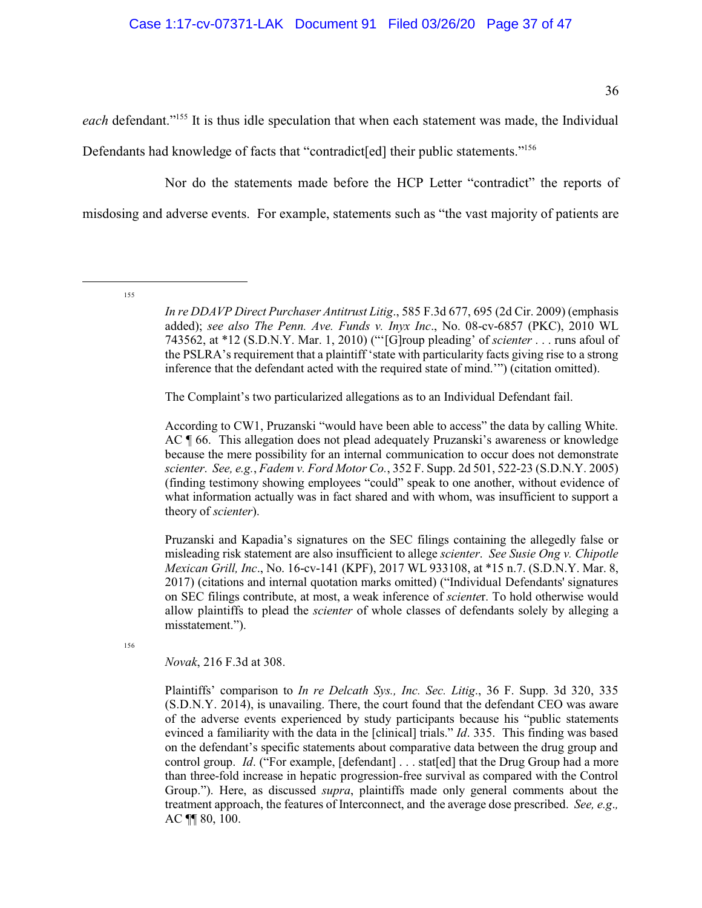each defendant."<sup>155</sup> It is thus idle speculation that when each statement was made, the Individual Defendants had knowledge of facts that "contradict[ed] their public statements."<sup>156</sup>

Nor do the statements made before the HCP Letter "contradict" the reports of misdosing and adverse events. For example, statements such as "the vast majority of patients are

155

*In re DDAVP Direct Purchaser Antitrust Litig*., 585 F.3d 677, 695 (2d Cir. 2009) (emphasis added); *see also The Penn. Ave. Funds v. Inyx Inc*., No. 08-cv-6857 (PKC), 2010 WL 743562, at \*12 (S.D.N.Y. Mar. 1, 2010) ("'[G]roup pleading' of *scienter* . . . runs afoul of the PSLRA's requirement that a plaintiff 'state with particularity facts giving rise to a strong inference that the defendant acted with the required state of mind.'") (citation omitted).

The Complaint's two particularized allegations as to an Individual Defendant fail.

According to CW1, Pruzanski "would have been able to access" the data by calling White. AC ¶ 66. This allegation does not plead adequately Pruzanski's awareness or knowledge because the mere possibility for an internal communication to occur does not demonstrate *scienter*. *See, e.g.*, *Fadem v. Ford Motor Co.*, 352 F. Supp. 2d 501, 522-23 (S.D.N.Y. 2005) (finding testimony showing employees "could" speak to one another, without evidence of what information actually was in fact shared and with whom, was insufficient to support a theory of *scienter*).

Pruzanski and Kapadia's signatures on the SEC filings containing the allegedly false or misleading risk statement are also insufficient to allege *scienter*. *See Susie Ong v. Chipotle Mexican Grill, Inc*., No. 16-cv-141 (KPF), 2017 WL 933108, at \*15 n.7. (S.D.N.Y. Mar. 8, 2017) (citations and internal quotation marks omitted) ("Individual Defendants' signatures on SEC filings contribute, at most, a weak inference of *sciente*r. To hold otherwise would allow plaintiffs to plead the *scienter* of whole classes of defendants solely by alleging a misstatement.").

156

*Novak*, 216 F.3d at 308.

Plaintiffs' comparison to *In re Delcath Sys., Inc. Sec. Litig*., 36 F. Supp. 3d 320, 335 (S.D.N.Y. 2014), is unavailing. There, the court found that the defendant CEO was aware of the adverse events experienced by study participants because his "public statements evinced a familiarity with the data in the [clinical] trials." *Id*. 335. This finding was based on the defendant's specific statements about comparative data between the drug group and control group. *Id.* ("For example, [defendant] . . . stat[ed] that the Drug Group had a more than three-fold increase in hepatic progression-free survival as compared with the Control Group."). Here, as discussed *supra*, plaintiffs made only general comments about the treatment approach, the features of Interconnect, and the average dose prescribed. *See, e.g*.*,* AC ¶¶ 80, 100.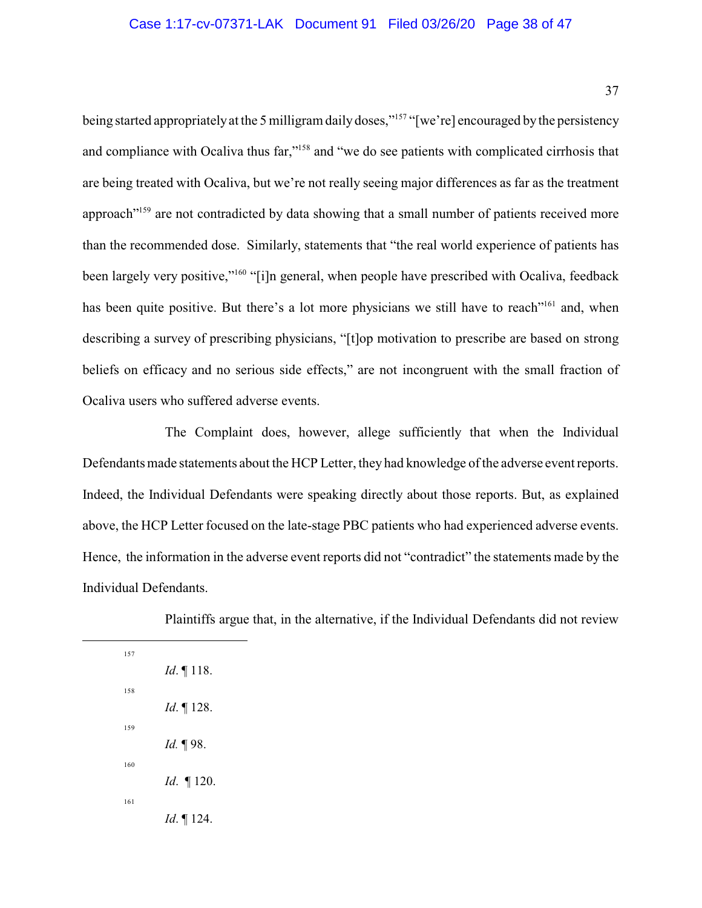being started appropriately at the 5 milligram daily doses,"<sup>157</sup> "[we're] encouraged by the persistency and compliance with Ocaliva thus far,"<sup>158</sup> and "we do see patients with complicated cirrhosis that are being treated with Ocaliva, but we're not really seeing major differences as far as the treatment approach"<sup>159</sup> are not contradicted by data showing that a small number of patients received more than the recommended dose. Similarly, statements that "the real world experience of patients has been largely very positive,"<sup>160</sup> "[i]n general, when people have prescribed with Ocaliva, feedback has been quite positive. But there's a lot more physicians we still have to reach"<sup>161</sup> and, when describing a survey of prescribing physicians, "[t]op motivation to prescribe are based on strong beliefs on efficacy and no serious side effects," are not incongruent with the small fraction of Ocaliva users who suffered adverse events.

The Complaint does, however, allege sufficiently that when the Individual Defendants made statements about the HCP Letter, they had knowledge of the adverse event reports. Indeed, the Individual Defendants were speaking directly about those reports. But, as explained above, the HCP Letter focused on the late-stage PBC patients who had experienced adverse events. Hence, the information in the adverse event reports did not "contradict" the statements made by the Individual Defendants.

Plaintiffs argue that, in the alternative, if the Individual Defendants did not review

| 157 |                      |
|-----|----------------------|
|     | <i>Id.</i> $\P$ 118. |
| 158 |                      |
|     | $Id. \P 128.$        |
| 159 |                      |
|     | <i>Id.</i> 198.      |
| 160 |                      |
|     | <i>Id.</i> $\P$ 120. |
| 161 |                      |
|     | <i>Id.</i> 124.      |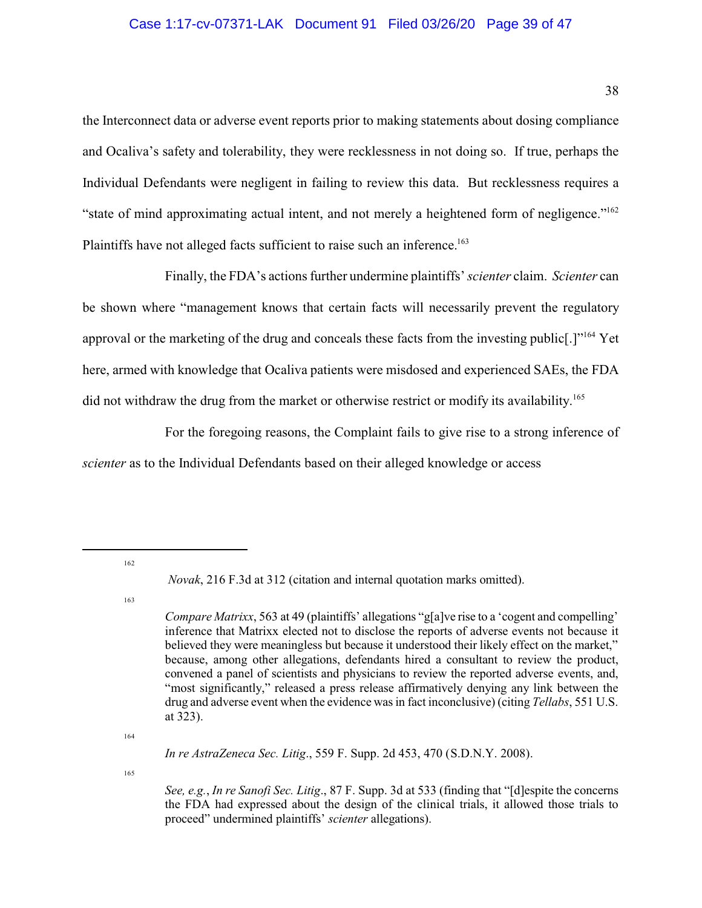### Case 1:17-cv-07371-LAK Document 91 Filed 03/26/20 Page 39 of 47

the Interconnect data or adverse event reports prior to making statements about dosing compliance and Ocaliva's safety and tolerability, they were recklessness in not doing so. If true, perhaps the Individual Defendants were negligent in failing to review this data. But recklessness requires a "state of mind approximating actual intent, and not merely a heightened form of negligence."<sup>162</sup> Plaintiffs have not alleged facts sufficient to raise such an inference.<sup>163</sup>

Finally, the FDA's actions further undermine plaintiffs' *scienter* claim. *Scienter* can be shown where "management knows that certain facts will necessarily prevent the regulatory approval or the marketing of the drug and conceals these facts from the investing public[.]"<sup>164</sup> Yet here, armed with knowledge that Ocaliva patients were misdosed and experienced SAEs, the FDA did not withdraw the drug from the market or otherwise restrict or modify its availability.<sup>165</sup>

For the foregoing reasons, the Complaint fails to give rise to a strong inference of *scienter* as to the Individual Defendants based on their alleged knowledge or access

162

163

164

*In re AstraZeneca Sec. Litig*., 559 F. Supp. 2d 453, 470 (S.D.N.Y. 2008).

165

*Novak*, 216 F.3d at 312 (citation and internal quotation marks omitted).

*Compare Matrixx*, 563 at 49 (plaintiffs' allegations "g[a]ve rise to a 'cogent and compelling' inference that Matrixx elected not to disclose the reports of adverse events not because it believed they were meaningless but because it understood their likely effect on the market," because, among other allegations, defendants hired a consultant to review the product, convened a panel of scientists and physicians to review the reported adverse events, and, "most significantly," released a press release affirmatively denying any link between the drug and adverse event when the evidence wasin fact inconclusive) (citing *Tellabs*, 551 U.S. at 323).

*See, e.g.*, *In re Sanofi Sec. Litig*., 87 F. Supp. 3d at 533 (finding that "[d]espite the concerns the FDA had expressed about the design of the clinical trials, it allowed those trials to proceed" undermined plaintiffs' *scienter* allegations).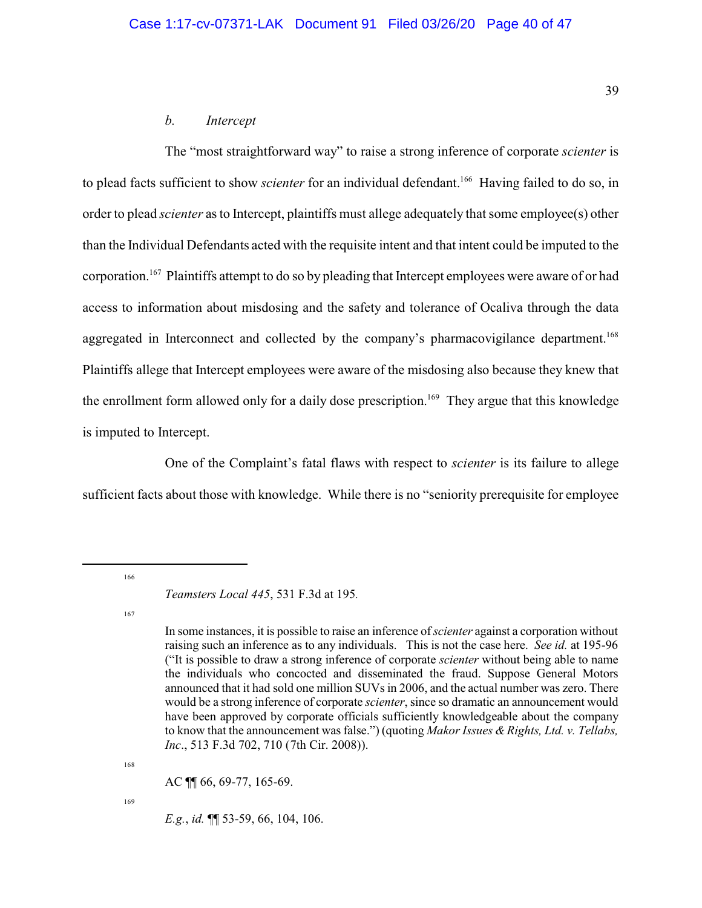#### *b. Intercept*

The "most straightforward way" to raise a strong inference of corporate *scienter* is to plead facts sufficient to show *scienter* for an individual defendant.<sup>166</sup> Having failed to do so, in order to plead *scienter* as to Intercept, plaintiffs must allege adequately that some employee(s) other than the Individual Defendants acted with the requisite intent and that intent could be imputed to the corporation.<sup>167</sup> Plaintiffs attempt to do so by pleading that Intercept employees were aware of or had access to information about misdosing and the safety and tolerance of Ocaliva through the data aggregated in Interconnect and collected by the company's pharmacovigilance department.<sup>168</sup> Plaintiffs allege that Intercept employees were aware of the misdosing also because they knew that the enrollment form allowed only for a daily dose prescription.<sup>169</sup> They argue that this knowledge is imputed to Intercept.

One of the Complaint's fatal flaws with respect to *scienter* is its failure to allege sufficient facts about those with knowledge. While there is no "seniority prerequisite for employee

166

168

AC ¶¶ 66, 69-77, 165-69.

169

*E.g.*, *id.* ¶¶ 53-59, 66, 104, 106.

*Teamsters Local 445*, 531 F.3d at 195*.* 

<sup>167</sup>

In some instances, it is possible to raise an inference of*scienter* against a corporation without raising such an inference as to any individuals. This is not the case here. *See id.* at 195-96 ("It is possible to draw a strong inference of corporate *scienter* without being able to name the individuals who concocted and disseminated the fraud. Suppose General Motors announced that it had sold one million SUVsin 2006, and the actual number was zero. There would be a strong inference of corporate *scienter*, since so dramatic an announcement would have been approved by corporate officials sufficiently knowledgeable about the company to know that the announcement wasfalse.") (quoting *MakorIssues &Rights, Ltd. v. Tellabs, Inc*., 513 F.3d 702, 710 (7th Cir. 2008)).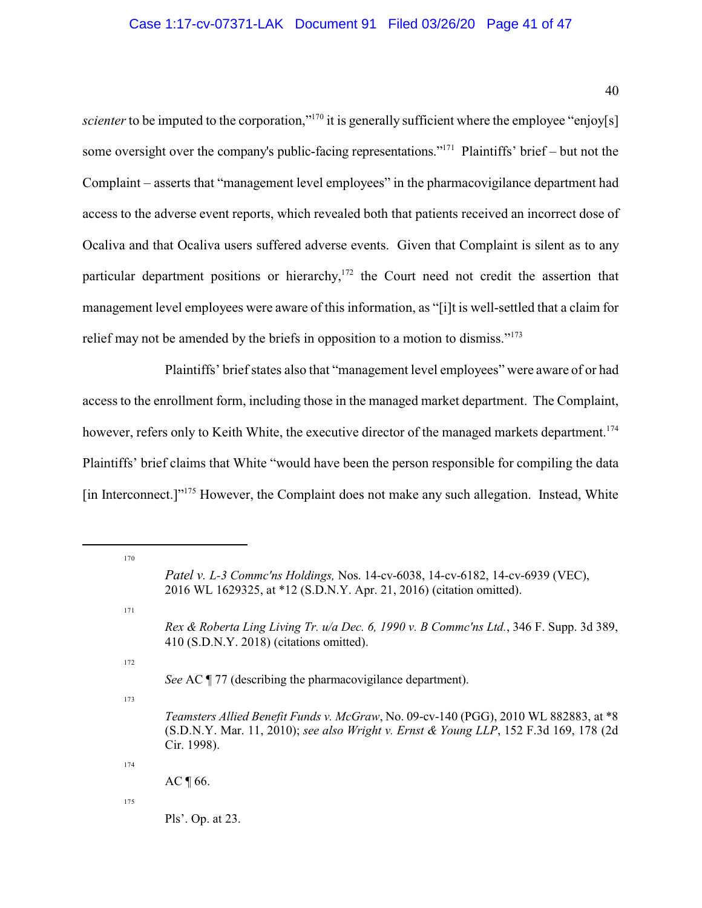## Case 1:17-cv-07371-LAK Document 91 Filed 03/26/20 Page 41 of 47

scienter to be imputed to the corporation,"<sup>170</sup> it is generally sufficient where the employee "enjoy[s] some oversight over the company's public-facing representations."<sup>171</sup> Plaintiffs' brief – but not the Complaint – asserts that "management level employees" in the pharmacovigilance department had access to the adverse event reports, which revealed both that patients received an incorrect dose of Ocaliva and that Ocaliva users suffered adverse events. Given that Complaint is silent as to any particular department positions or hierarchy,<sup>172</sup> the Court need not credit the assertion that management level employees were aware of this information, as "[i]t is well-settled that a claim for relief may not be amended by the briefs in opposition to a motion to dismiss."<sup>173</sup>

Plaintiffs' brief states also that "management level employees" were aware of or had access to the enrollment form, including those in the managed market department. The Complaint, however, refers only to Keith White, the executive director of the managed markets department.<sup>174</sup> Plaintiffs' brief claims that White "would have been the person responsible for compiling the data [in Interconnect.]"<sup>175</sup> However, the Complaint does not make any such allegation. Instead, White

Pls'. Op. at 23.

<sup>170</sup> *Patel v. L-3 Commc'ns Holdings,* Nos. 14-cv-6038, 14-cv-6182, 14-cv-6939 (VEC), 2016 WL 1629325, at \*12 (S.D.N.Y. Apr. 21, 2016) (citation omitted). 171 *Rex & Roberta Ling Living Tr. u/a Dec. 6, 1990 v. B Commc'ns Ltd.*, 346 F. Supp. 3d 389, 410 (S.D.N.Y. 2018) (citations omitted). 172 *See* AC ¶ 77 (describing the pharmacovigilance department). 173 *Teamsters Allied Benefit Funds v. McGraw*, No. 09-cv-140 (PGG), 2010 WL 882883, at \*8 (S.D.N.Y. Mar. 11, 2010); *see also Wright v. Ernst & Young LLP*, 152 F.3d 169, 178 (2d Cir. 1998). 174  $AC \sqrt{66}$ . 175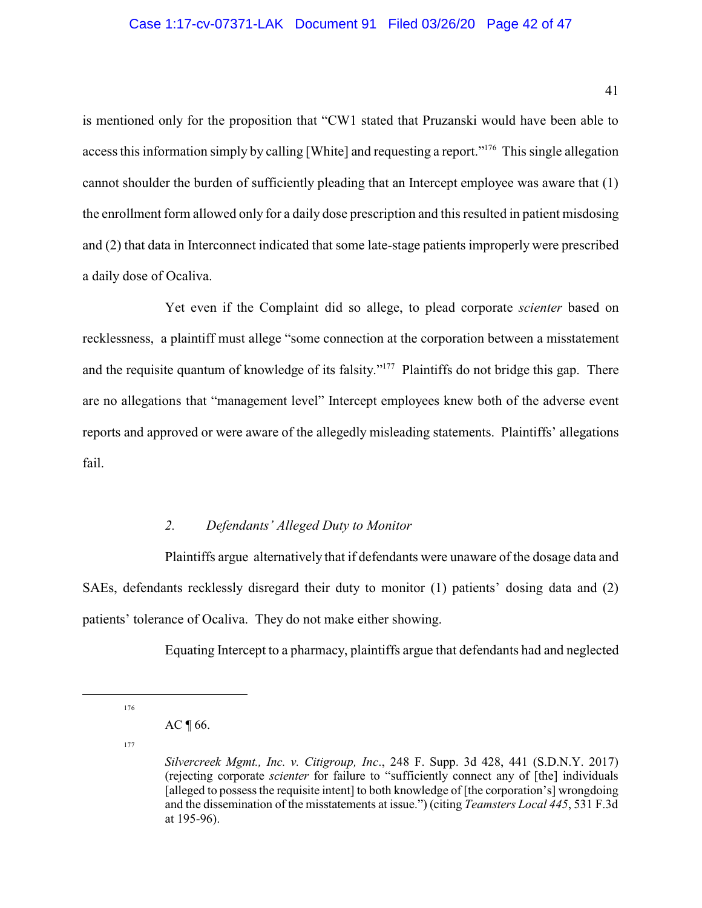#### Case 1:17-cv-07371-LAK Document 91 Filed 03/26/20 Page 42 of 47

is mentioned only for the proposition that "CW1 stated that Pruzanski would have been able to access this information simply by calling [White] and requesting a report."<sup>176</sup> This single allegation cannot shoulder the burden of sufficiently pleading that an Intercept employee was aware that (1) the enrollment form allowed only for a daily dose prescription and this resulted in patient misdosing and (2) that data in Interconnect indicated that some late-stage patients improperly were prescribed a daily dose of Ocaliva.

Yet even if the Complaint did so allege, to plead corporate *scienter* based on recklessness, a plaintiff must allege "some connection at the corporation between a misstatement and the requisite quantum of knowledge of its falsity."<sup>177</sup> Plaintiffs do not bridge this gap. There are no allegations that "management level" Intercept employees knew both of the adverse event reports and approved or were aware of the allegedly misleading statements. Plaintiffs' allegations fail.

#### *2. Defendants' Alleged Duty to Monitor*

Plaintiffs argue alternatively that if defendants were unaware of the dosage data and SAEs, defendants recklessly disregard their duty to monitor (1) patients' dosing data and (2) patients' tolerance of Ocaliva. They do not make either showing.

Equating Intercept to a pharmacy, plaintiffs argue that defendants had and neglected

177

<sup>176</sup>

AC  $\P$  66.

*Silvercreek Mgmt., Inc. v. Citigroup, Inc*., 248 F. Supp. 3d 428, 441 (S.D.N.Y. 2017) (rejecting corporate *scienter* for failure to "sufficiently connect any of [the] individuals [alleged to possess the requisite intent] to both knowledge of [the corporation's] wrongdoing and the dissemination of the misstatements at issue.") (citing *Teamsters Local 445*, 531 F.3d at 195-96).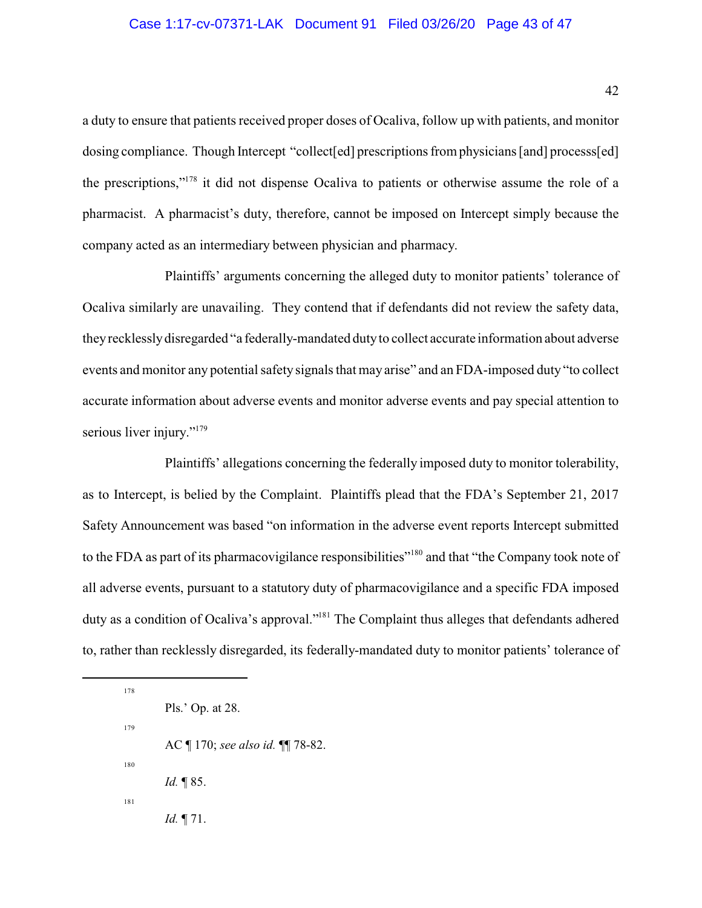### Case 1:17-cv-07371-LAK Document 91 Filed 03/26/20 Page 43 of 47

a duty to ensure that patients received proper doses of Ocaliva, follow up with patients, and monitor dosing compliance. Though Intercept "collect[ed] prescriptions from physicians [and] processs[ed] the prescriptions,"<sup>178</sup> it did not dispense Ocaliva to patients or otherwise assume the role of a pharmacist. A pharmacist's duty, therefore, cannot be imposed on Intercept simply because the company acted as an intermediary between physician and pharmacy.

Plaintiffs' arguments concerning the alleged duty to monitor patients' tolerance of Ocaliva similarly are unavailing. They contend that if defendants did not review the safety data, theyrecklesslydisregarded "a federally-mandated dutyto collect accurate information about adverse events and monitor any potential safety signals that may arise" and an FDA-imposed duty "to collect accurate information about adverse events and monitor adverse events and pay special attention to serious liver injury."<sup>179</sup>

Plaintiffs' allegations concerning the federally imposed duty to monitor tolerability, as to Intercept, is belied by the Complaint. Plaintiffs plead that the FDA's September 21, 2017 Safety Announcement was based "on information in the adverse event reports Intercept submitted to the FDA as part of its pharmacovigilance responsibilities"<sup>180</sup> and that "the Company took note of all adverse events, pursuant to a statutory duty of pharmacovigilance and a specific FDA imposed duty as a condition of Ocaliva's approval."<sup>181</sup> The Complaint thus alleges that defendants adhered to, rather than recklessly disregarded, its federally-mandated duty to monitor patients' tolerance of

Pls.' Op. at 28. 179 AC ¶ 170; *see also id.* ¶¶ 78-82. 180 *Id.* ¶ 85. 181 *Id.* ¶ 71.

178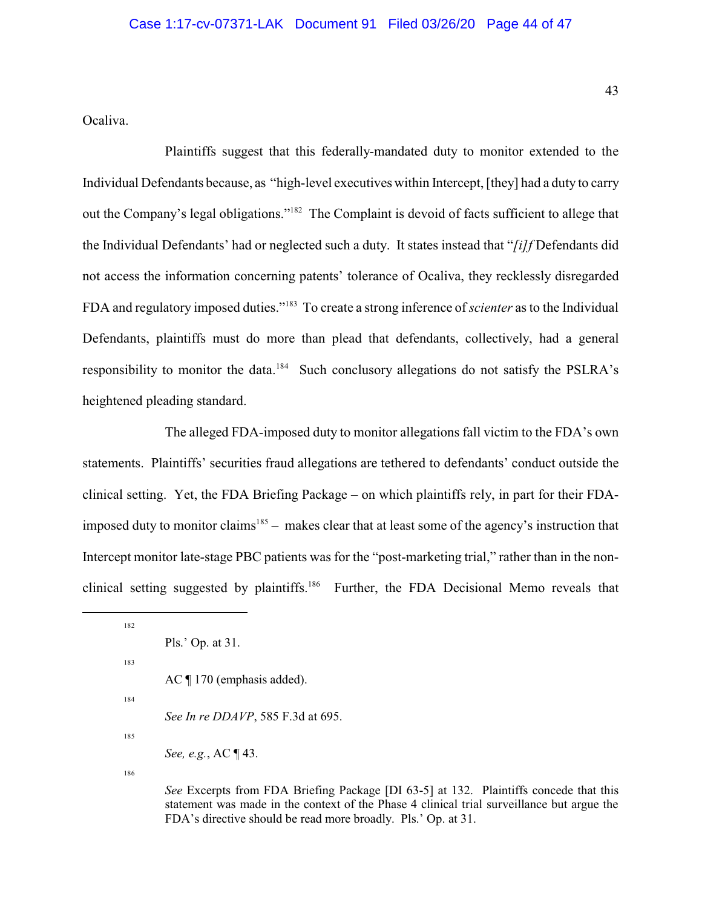Ocaliva.

Plaintiffs suggest that this federally-mandated duty to monitor extended to the Individual Defendants because, as "high-level executives within Intercept, [they] had a duty to carry out the Company's legal obligations."<sup>182</sup> The Complaint is devoid of facts sufficient to allege that the Individual Defendants' had or neglected such a duty. It states instead that "*[i]f* Defendants did not access the information concerning patents' tolerance of Ocaliva, they recklessly disregarded FDA and regulatory imposed duties."<sup>183</sup> To create a strong inference of *scienter* as to the Individual Defendants, plaintiffs must do more than plead that defendants, collectively, had a general responsibility to monitor the data.<sup>184</sup> Such conclusory allegations do not satisfy the PSLRA's heightened pleading standard.

The alleged FDA-imposed duty to monitor allegations fall victim to the FDA's own statements. Plaintiffs' securities fraud allegations are tethered to defendants' conduct outside the clinical setting. Yet, the FDA Briefing Package – on which plaintiffs rely, in part for their FDAimposed duty to monitor claims<sup>185</sup> – makes clear that at least some of the agency's instruction that Intercept monitor late-stage PBC patients was for the "post-marketing trial," rather than in the nonclinical setting suggested by plaintiffs.<sup>186</sup> Further, the FDA Decisional Memo reveals that

183

184

*See In re DDAVP*, 585 F.3d at 695.

185

186

*See* Excerpts from FDA Briefing Package [DI 63-5] at 132. Plaintiffs concede that this statement was made in the context of the Phase 4 clinical trial surveillance but argue the FDA's directive should be read more broadly. Pls.' Op. at 31.

<sup>182</sup>

Pls.' Op. at 31.

AC ¶ 170 (emphasis added).

*See, e.g.*, AC ¶ 43.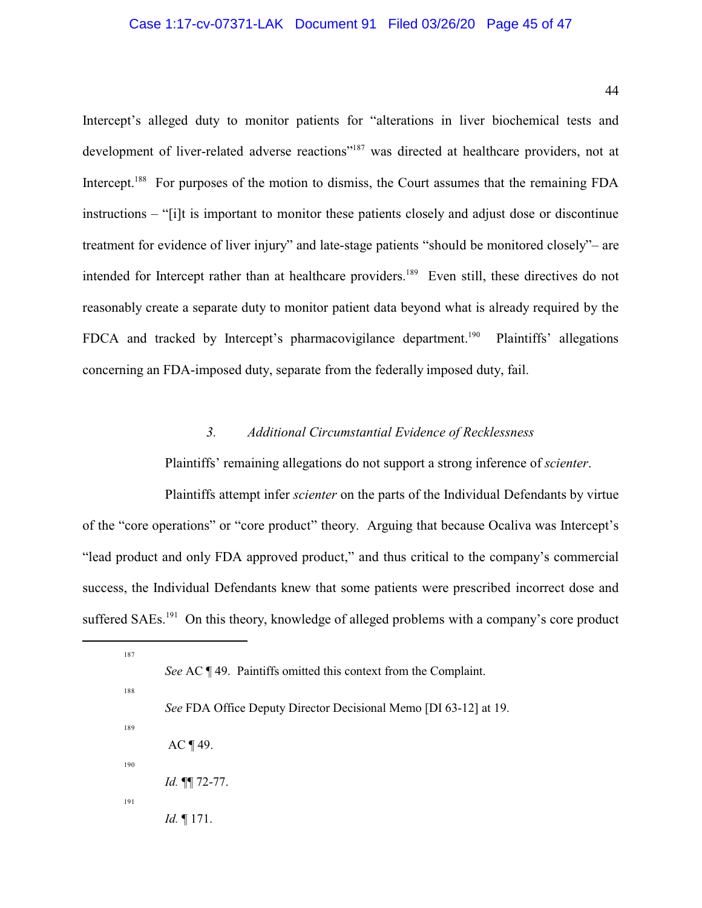### Case 1:17-cv-07371-LAK Document 91 Filed 03/26/20 Page 45 of 47

44

Intercept's alleged duty to monitor patients for "alterations in liver biochemical tests and development of liver-related adverse reactions"<sup>187</sup> was directed at healthcare providers, not at Intercept.<sup>188</sup> For purposes of the motion to dismiss, the Court assumes that the remaining FDA instructions – "[i]t is important to monitor these patients closely and adjust dose or discontinue treatment for evidence of liver injury" and late-stage patients "should be monitored closely"– are intended for Intercept rather than at healthcare providers.<sup>189</sup> Even still, these directives do not reasonably create a separate duty to monitor patient data beyond what is already required by the FDCA and tracked by Intercept's pharmacovigilance department.<sup>190</sup> Plaintiffs' allegations concerning an FDA-imposed duty, separate from the federally imposed duty, fail.

### *3. Additional Circumstantial Evidence of Recklessness*

Plaintiffs' remaining allegations do not support a strong inference of *scienter*.

Plaintiffs attempt infer *scienter* on the parts of the Individual Defendants by virtue of the "core operations" or "core product" theory. Arguing that because Ocaliva was Intercept's "lead product and only FDA approved product," and thus critical to the company's commercial success, the Individual Defendants knew that some patients were prescribed incorrect dose and suffered SAEs.<sup>191</sup> On this theory, knowledge of alleged problems with a company's core product

<sup>187</sup> *See* AC ¶ 49. Paintiffs omitted this context from the Complaint. 188 *See* FDA Office Deputy Director Decisional Memo [DI 63-12] at 19. 189  $AC \eta$  49. 190 *Id.* ¶¶ 72-77. 191 *Id.* ¶ 171.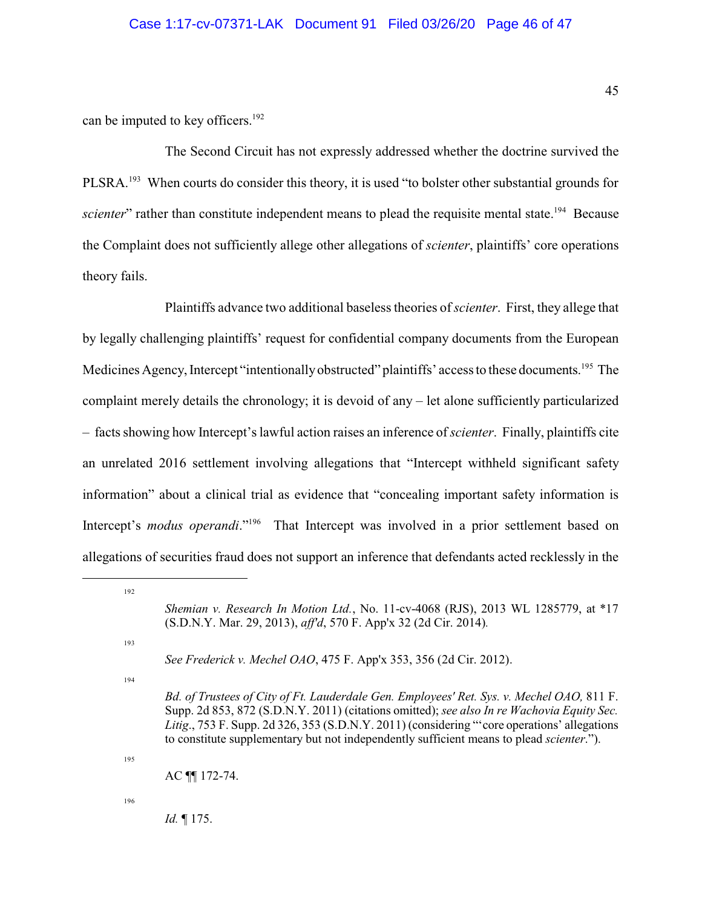### Case 1:17-cv-07371-LAK Document 91 Filed 03/26/20 Page 46 of 47

can be imputed to key officers.<sup>192</sup>

The Second Circuit has not expressly addressed whether the doctrine survived the PLSRA.<sup>193</sup> When courts do consider this theory, it is used "to bolster other substantial grounds for *scienter*" rather than constitute independent means to plead the requisite mental state.<sup>194</sup> Because the Complaint does not sufficiently allege other allegations of *scienter*, plaintiffs' core operations theory fails.

Plaintiffs advance two additional baseless theories of *scienter*. First, they allege that by legally challenging plaintiffs' request for confidential company documents from the European Medicines Agency, Intercept "intentionally obstructed" plaintiffs' access to these documents.<sup>195</sup> The complaint merely details the chronology; it is devoid of any – let alone sufficiently particularized – facts showing how Intercept's lawful action raises an inference of *scienter*. Finally, plaintiffs cite an unrelated 2016 settlement involving allegations that "Intercept withheld significant safety information" about a clinical trial as evidence that "concealing important safety information is Intercept's *modus operandi*."<sup>196</sup> That Intercept was involved in a prior settlement based on allegations of securities fraud does not support an inference that defendants acted recklessly in the

193

192

195

*Shemian v. Research In Motion Ltd.*, No. 11-cv-4068 (RJS), 2013 WL 1285779, at \*17 (S.D.N.Y. Mar. 29, 2013), *aff'd*, 570 F. App'x 32 (2d Cir. 2014)*.* 

*See Frederick v. Mechel OAO*, 475 F. App'x 353, 356 (2d Cir. 2012).

<sup>194</sup>

*Bd. of Trustees of City of Ft. Lauderdale Gen. Employees' Ret. Sys. v. Mechel OAO,* 811 F. Supp. 2d 853, 872 (S.D.N.Y. 2011) (citations omitted); *see also In re Wachovia Equity Sec. Litig*., 753 F. Supp. 2d 326, 353 (S.D.N.Y. 2011) (considering "'core operations' allegations to constitute supplementary but not independently sufficient means to plead *scienter*.").

AC ¶¶ 172-74.